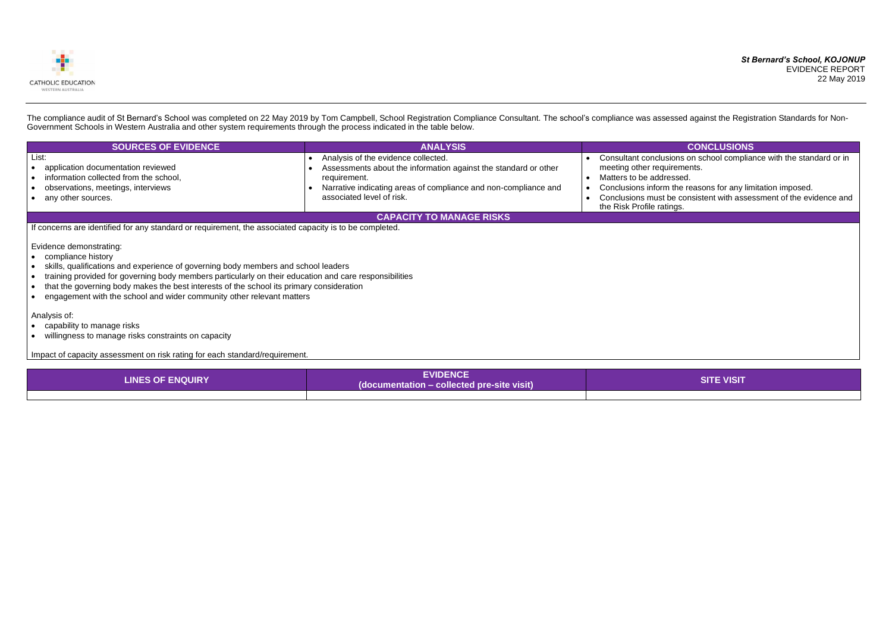### *St Bernard's School, KOJONUP* EVIDENCE REPORT 22 May 2019

sions on school compliance with the standard or in irements.

the reasons for any limitation imposed.

e consistent with assessment of the evidence and ngs.



The compliance audit of St Bernard's School was completed on 22 May 2019 by Tom Campbell, School Registration Compliance Consultant. The school's compliance was assessed against the Registration Standards for Non-Government Schools in Western Australia and other system requirements through the process indicated in the table below.

| <b>SOURCES OF EVIDENCE</b>                                                                                                                        | <b>ANALYSIS</b>                                                                                                                                                                                                        | <b>CONCLUSIONS</b>                                                                                                                                                                                                          |  |  |  |  |
|---------------------------------------------------------------------------------------------------------------------------------------------------|------------------------------------------------------------------------------------------------------------------------------------------------------------------------------------------------------------------------|-----------------------------------------------------------------------------------------------------------------------------------------------------------------------------------------------------------------------------|--|--|--|--|
| List:<br>application documentation reviewed<br>information collected from the school,<br>observations, meetings, interviews<br>any other sources. | Analysis of the evidence collected.<br>Assessments about the information against the standard or other<br>requirement.<br>Narrative indicating areas of compliance and non-compliance and<br>associated level of risk. | Consultant conclusions on school complia<br>meeting other requirements.<br>Matters to be addressed.<br>Conclusions inform the reasons for any lim<br>Conclusions must be consistent with asset<br>the Risk Profile ratings. |  |  |  |  |
| <b>CAPACITY TO MANAGE RISKS</b>                                                                                                                   |                                                                                                                                                                                                                        |                                                                                                                                                                                                                             |  |  |  |  |

If concerns are identified for any standard or requirement, the associated capacity is to be completed.

Evidence demonstrating:

- compliance history
- skills, qualifications and experience of governing body members and school leaders
- training provided for governing body members particularly on their education and care responsibilities
- that the governing body makes the best interests of the school its primary consideration
- engagement with the school and wider community other relevant matters

Analysis of:

- capability to manage risks
- willingness to manage risks constraints on capacity

Impact of capacity assessment on risk rating for each standard/requirement.

| <b>LINES OF ENQUIRY</b> | <b>EVIDENCE</b><br>(documentation – collected pre-site visit) | <b>Z VISIT</b> |
|-------------------------|---------------------------------------------------------------|----------------|
|                         |                                                               |                |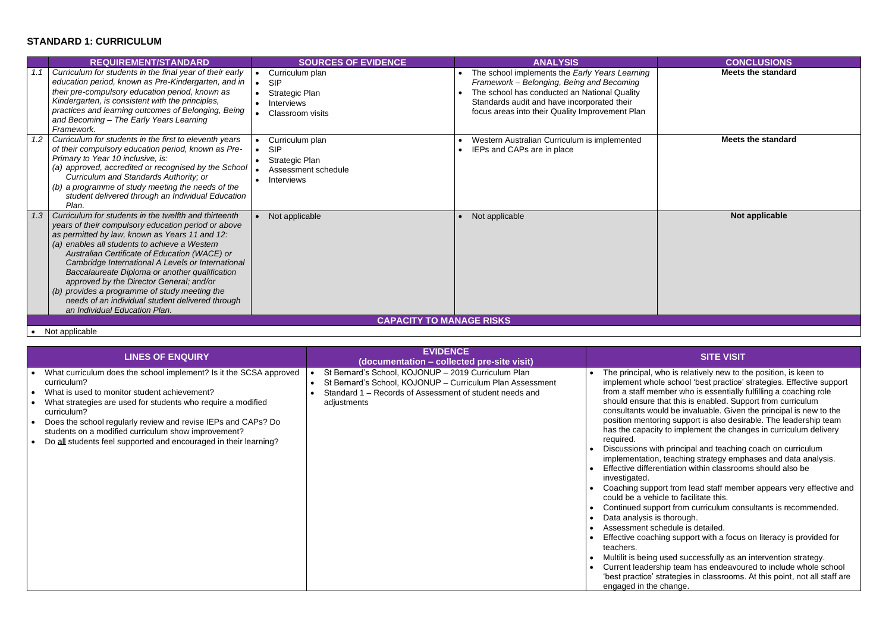### **STANDARD 1: CURRICULUM**

# **Meets the standard**

|     | <b>REQUIREMENT/STANDARD</b>                                                                                                                                                                                                                                                                                                                                                                                                                                                                                                                               | <b>SOURCES OF EVIDENCE</b>                                                                      | <b>ANALYSIS</b>                                                                                                                                                                                                                               | <b>CONCLUSIONS</b>       |
|-----|-----------------------------------------------------------------------------------------------------------------------------------------------------------------------------------------------------------------------------------------------------------------------------------------------------------------------------------------------------------------------------------------------------------------------------------------------------------------------------------------------------------------------------------------------------------|-------------------------------------------------------------------------------------------------|-----------------------------------------------------------------------------------------------------------------------------------------------------------------------------------------------------------------------------------------------|--------------------------|
|     | Curriculum for students in the final year of their early<br>education period, known as Pre-Kindergarten, and in<br>their pre-compulsory education period, known as<br>Kindergarten, is consistent with the principles,<br>practices and learning outcomes of Belonging, Being<br>and Becoming - The Early Years Learning<br>Framework.                                                                                                                                                                                                                    | Curriculum plan<br><b>SIP</b><br>Strategic Plan<br><b>Interviews</b><br><b>Classroom visits</b> | The school implements the Early Years Learning<br>Framework - Belonging, Being and Becoming<br>The school has conducted an National Quality<br>Standards audit and have incorporated their<br>focus areas into their Quality Improvement Plan | <b>Meets the standar</b> |
| 1.2 | Curriculum for students in the first to eleventh years<br>of their compulsory education period, known as Pre-<br>Primary to Year 10 inclusive, is:<br>(a) approved, accredited or recognised by the School<br>Curriculum and Standards Authority; or<br>(b) a programme of study meeting the needs of the<br>student delivered through an Individual Education<br>Plan.                                                                                                                                                                                   | Curriculum plan<br><b>SIP</b><br>Strategic Plan<br>Assessment schedule<br><b>Interviews</b>     | Western Australian Curriculum is implemented<br>IEPs and CAPs are in place                                                                                                                                                                    | <b>Meets the standar</b> |
| 1.3 | Curriculum for students in the twelfth and thirteenth<br>years of their compulsory education period or above<br>as permitted by law, known as Years 11 and 12:<br>(a) enables all students to achieve a Western<br>Australian Certificate of Education (WACE) or<br>Cambridge International A Levels or International<br>Baccalaureate Diploma or another qualification<br>approved by the Director General; and/or<br>(b) provides a programme of study meeting the<br>needs of an individual student delivered through<br>an Individual Education Plan. | Not applicable                                                                                  | Not applicable                                                                                                                                                                                                                                | Not applicable           |
|     |                                                                                                                                                                                                                                                                                                                                                                                                                                                                                                                                                           |                                                                                                 | <b>CAPACITY TO MANAGE RISKS</b>                                                                                                                                                                                                               |                          |

### **Meets the standard**

### **Not applicable**

is relatively new to the position, is keen to implement whole school 'best practice' strategies. Effective support er who is essentially fulfilling a coaching role t this is enabled. Support from curriculum be invaluable. Given the principal is new to the support is also desirable. The leadership team implement the changes in curriculum delivery

rincipal and teaching coach on curriculum aching strategy emphases and data analysis.  $\frac{1}{2}$ ation within classrooms should also be

from lead staff member appears very effective and to facilitate this.

from curriculum consultants is recommended. orough.

support with a focus on literacy is provided for

ed successfully as an intervention strategy. team has endeavoured to include whole school tegies in classrooms. At this point, not all staff are ange.

• Not applicable

| <b>LINES OF ENQUIRY</b>                                                                                                                                                                                                                                                                                                                                                                                      | <b>EVIDENCE</b><br>(documentation - collected pre-site visit)                                                                                                                              | <b>SITE VISIT</b>                                                                                                                                                                                                                                                                                                                                                                                                                                                                                                                                                                                                                                                                                                                                                                                                                                                                          |
|--------------------------------------------------------------------------------------------------------------------------------------------------------------------------------------------------------------------------------------------------------------------------------------------------------------------------------------------------------------------------------------------------------------|--------------------------------------------------------------------------------------------------------------------------------------------------------------------------------------------|--------------------------------------------------------------------------------------------------------------------------------------------------------------------------------------------------------------------------------------------------------------------------------------------------------------------------------------------------------------------------------------------------------------------------------------------------------------------------------------------------------------------------------------------------------------------------------------------------------------------------------------------------------------------------------------------------------------------------------------------------------------------------------------------------------------------------------------------------------------------------------------------|
| What curriculum does the school implement? Is it the SCSA approved<br>curriculum?<br>What is used to monitor student achievement?<br>What strategies are used for students who require a modified<br>curriculum?<br>Does the school regularly review and revise IEPs and CAPs? Do<br>students on a modified curriculum show improvement?<br>Do all students feel supported and encouraged in their learning? | St Bernard's School, KOJONUP - 2019 Curriculum Plan<br>St Bernard's School, KOJONUP - Curriculum Plan Assessment<br>Standard 1 - Records of Assessment of student needs and<br>adjustments | The principal, who is relatively new to t<br>implement whole school 'best practice'<br>from a staff member who is essentially<br>should ensure that this is enabled. Sup<br>consultants would be invaluable. Given<br>position mentoring support is also desir<br>has the capacity to implement the char<br>required.<br>Discussions with principal and teaching<br>implementation, teaching strategy emp<br>Effective differentiation within classroor<br>investigated.<br>Coaching support from lead staff memb<br>could be a vehicle to facilitate this.<br>Continued support from curriculum con<br>Data analysis is thorough.<br>Assessment schedule is detailed.<br>Effective coaching support with a focus<br>teachers.<br>Multilit is being used successfully as are<br>Current leadership team has endeavou<br>'best practice' strategies in classrooms<br>engaged in the change. |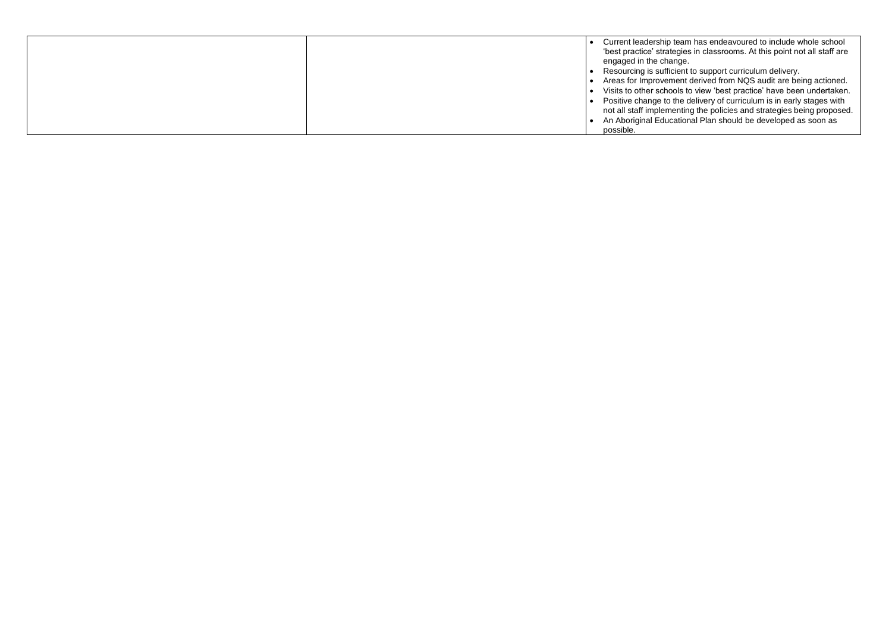• Resourcing is sufficient to support curriculum delivery.

• Areas for Improvement derived from NQS audit are being actioned. • Visits to other schools to view 'best practice' have been undertaken. • Positive change to the delivery of curriculum is in early stages with not all staff implementing the policies and strategies being proposed. • An Aboriginal Educational Plan should be developed as soon as

|  | Current leadership t   |
|--|------------------------|
|  | 'best practice' strate |
|  | engaged in the char    |
|  | Resourcing is suffic   |
|  | Areas for Improvem     |
|  | Visits to other schod  |
|  | Positive change to t   |
|  | not all staff impleme  |
|  | An Aboriginal Educa    |
|  | possible.              |

• Current leadership team has endeavoured to include whole school 'best practice' strategies in classrooms. At this point not all staff are nge.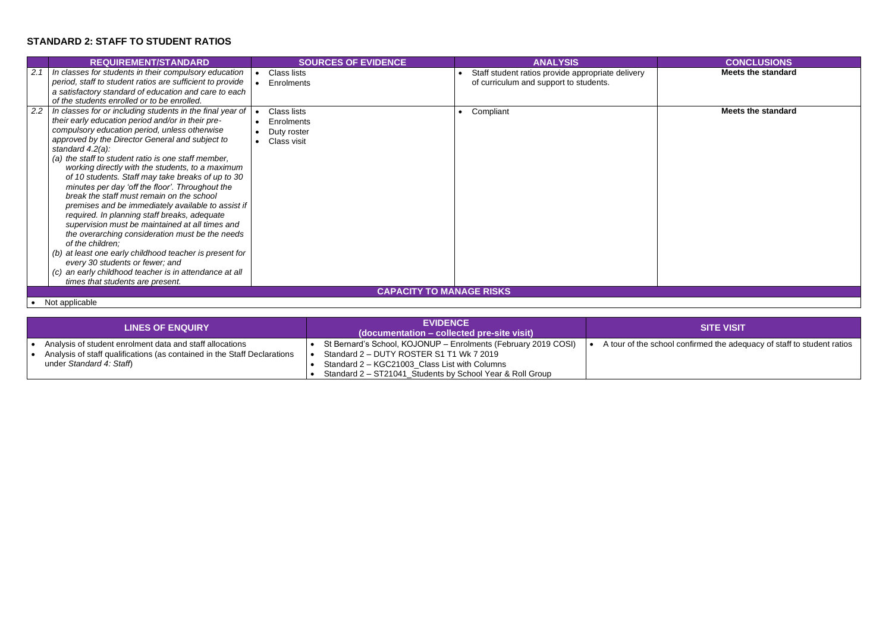# **STANDARD 2: STAFF TO STUDENT RATIOS**

**Meets the standard**

**Meets the standard** 

ol confirmed the adequacy of staff to student ratios

|     | <b>REQUIREMENT/STANDARD</b>                                                                                                                                                                                                                                                                                                                                                                                                                                                                                                                                                                                                                                                                                                                                                                                                                                                                                                           | <b>SOURCES OF EVIDENCE</b>                              | <b>ANALYSIS</b>                                                                             | <b>CONCLUSIONS</b>       |
|-----|---------------------------------------------------------------------------------------------------------------------------------------------------------------------------------------------------------------------------------------------------------------------------------------------------------------------------------------------------------------------------------------------------------------------------------------------------------------------------------------------------------------------------------------------------------------------------------------------------------------------------------------------------------------------------------------------------------------------------------------------------------------------------------------------------------------------------------------------------------------------------------------------------------------------------------------|---------------------------------------------------------|---------------------------------------------------------------------------------------------|--------------------------|
| 2.1 | In classes for students in their compulsory education<br>period, staff to student ratios are sufficient to provide<br>a satisfactory standard of education and care to each<br>of the students enrolled or to be enrolled.                                                                                                                                                                                                                                                                                                                                                                                                                                                                                                                                                                                                                                                                                                            | Class lists<br>Enrolments                               | Staff student ratios provide appropriate delivery<br>of curriculum and support to students. | <b>Meets the standar</b> |
| 2.2 | In classes for or including students in the final year of<br>their early education period and/or in their pre-<br>compulsory education period, unless otherwise<br>approved by the Director General and subject to<br>standard $4.2(a)$ :<br>(a) the staff to student ratio is one staff member,<br>working directly with the students, to a maximum<br>of 10 students. Staff may take breaks of up to 30<br>minutes per day 'off the floor'. Throughout the<br>break the staff must remain on the school<br>premises and be immediately available to assist if<br>required. In planning staff breaks, adequate<br>supervision must be maintained at all times and<br>the overarching consideration must be the needs<br>of the children;<br>(b) at least one early childhood teacher is present for<br>every 30 students or fewer; and<br>(c) an early childhood teacher is in attendance at all<br>times that students are present. | Class lists<br>Enrolments<br>Duty roster<br>Class visit | Compliant                                                                                   | <b>Meets the standar</b> |
|     |                                                                                                                                                                                                                                                                                                                                                                                                                                                                                                                                                                                                                                                                                                                                                                                                                                                                                                                                       |                                                         | <b>CAPACITY TO MANAGE RISKS</b>                                                             |                          |

• Not applicable

| <b>LINES OF ENQUIRY</b>                                                  | <b>EVIDENCE</b><br>(documentation – collected pre-site visit)  | <b>SITE VISIT</b>                       |
|--------------------------------------------------------------------------|----------------------------------------------------------------|-----------------------------------------|
| Analysis of student enrolment data and staff allocations                 | St Bernard's School, KOJONUP - Enrolments (February 2019 COSI) | A tour of the school confirmed the aded |
| Analysis of staff qualifications (as contained in the Staff Declarations | Standard 2 - DUTY ROSTER S1 T1 Wk 7 2019                       |                                         |
| under Standard 4: Staff)                                                 | Standard 2 - KGC21003 Class List with Columns                  |                                         |
|                                                                          | Standard 2 - ST21041_Students by School Year & Roll Group      |                                         |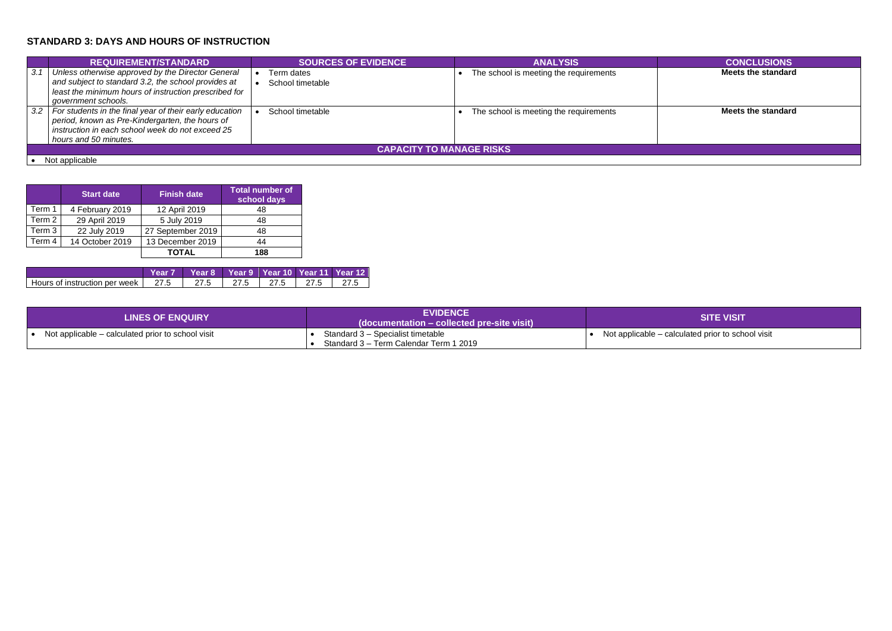# **STANDARD 3: DAYS AND HOURS OF INSTRUCTION**

|     | <b>REQUIREMENT/STANDARD</b>                                                                                                                                                              |  | <b>SOURCES OF EVIDENCE</b>     |  | <b>ANALYSIS</b>                        | <b>CONCLUSIONS</b>        |  |
|-----|------------------------------------------------------------------------------------------------------------------------------------------------------------------------------------------|--|--------------------------------|--|----------------------------------------|---------------------------|--|
| 3.1 | Unless otherwise approved by the Director General<br>and subject to standard 3.2, the school provides at<br>least the minimum hours of instruction prescribed for<br>government schools. |  | Term dates<br>School timetable |  | The school is meeting the requirements | <b>Meets the standard</b> |  |
| 3.2 | For students in the final year of their early education<br>period, known as Pre-Kindergarten, the hours of<br>instruction in each school week do not exceed 25<br>hours and 50 minutes.  |  | School timetable               |  | The school is meeting the requirements | Meets the standard        |  |
|     | <b>CAPACITY TO MANAGE RISKS</b>                                                                                                                                                          |  |                                |  |                                        |                           |  |
|     | Not applicable                                                                                                                                                                           |  |                                |  |                                        |                           |  |

|        | <b>Start date</b> | <b>Finish date</b> | <b>Total number of</b><br>school days |
|--------|-------------------|--------------------|---------------------------------------|
| Term 1 | 4 February 2019   | 12 April 2019      | 48                                    |
| Term 2 | 29 April 2019     | 5 July 2019        | 48                                    |
| Term 3 | 22 July 2019      | 27 September 2019  | 48                                    |
| Term 4 | 14 October 2019   | 13 December 2019   | 44                                    |
|        |                   | TOTAL              | 188                                   |

|                                      | Year 7   Year 8   Year 9   Year 10   Year 11   Year 12 |                                                |       |
|--------------------------------------|--------------------------------------------------------|------------------------------------------------|-------|
| Hours of instruction per week   27.5 | 27.5                                                   | $\vert$ 27.5 $\vert$ 27.5 $\vert$ 27.5 $\vert$ | 1.275 |

| <b>LINES OF ENQUIRY</b>                           | <b>EVIDENCE</b><br>(documentation – collected pre-site visit)               | <b>SITE VISIT</b>                        |
|---------------------------------------------------|-----------------------------------------------------------------------------|------------------------------------------|
| Not applicable – calculated prior to school visit | Standard 3 - Specialist timetable<br>Standard 3 – Term Calendar Term 1 2019 | Not applicable – calculated prior to sch |

### **Meets the standard**

Iculated prior to school visit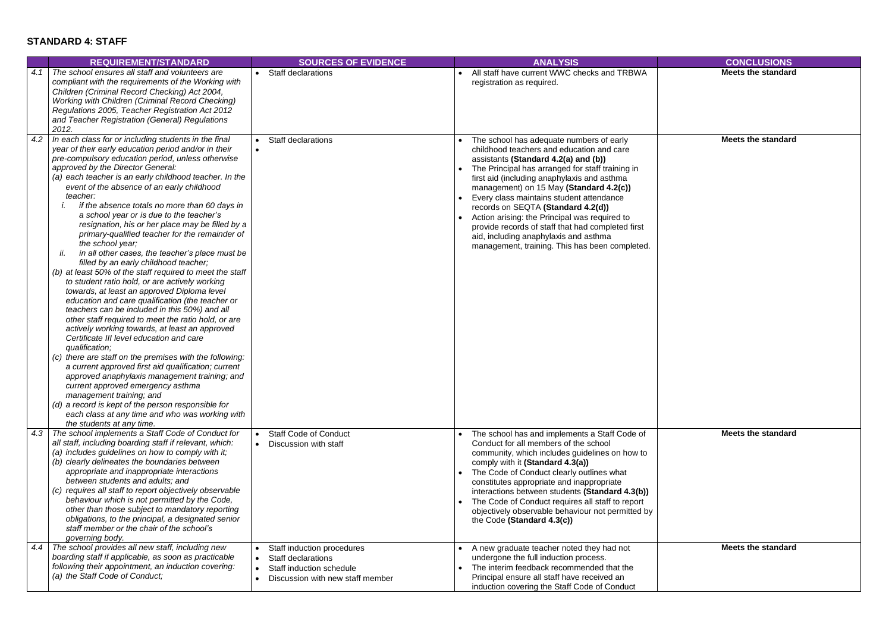### **STANDARD 4: STAFF**

**Meets the standard**

|     | <b>REQUIREMENT/STANDARD</b>                                                                                                                                                                                                                                                                                                                                                                                                                                                                                                                                                                                                                                                                                                                                                                                                                                                                                                                                                                                                                                                                                                                                                                                                                                                                                                                                                                                                                                             | <b>SOURCES OF EVIDENCE</b>                                                                                                                                                  | <b>ANALYSIS</b>                                                                                                                                                                                                                                                                                                                                                                                                                                                                                                                                                | <b>CONCLUSIONS</b>       |
|-----|-------------------------------------------------------------------------------------------------------------------------------------------------------------------------------------------------------------------------------------------------------------------------------------------------------------------------------------------------------------------------------------------------------------------------------------------------------------------------------------------------------------------------------------------------------------------------------------------------------------------------------------------------------------------------------------------------------------------------------------------------------------------------------------------------------------------------------------------------------------------------------------------------------------------------------------------------------------------------------------------------------------------------------------------------------------------------------------------------------------------------------------------------------------------------------------------------------------------------------------------------------------------------------------------------------------------------------------------------------------------------------------------------------------------------------------------------------------------------|-----------------------------------------------------------------------------------------------------------------------------------------------------------------------------|----------------------------------------------------------------------------------------------------------------------------------------------------------------------------------------------------------------------------------------------------------------------------------------------------------------------------------------------------------------------------------------------------------------------------------------------------------------------------------------------------------------------------------------------------------------|--------------------------|
| 4.1 | The school ensures all staff and volunteers are<br>compliant with the requirements of the Working with<br>Children (Criminal Record Checking) Act 2004,<br>Working with Children (Criminal Record Checking)<br>Regulations 2005, Teacher Registration Act 2012<br>and Teacher Registration (General) Regulations<br>2012.                                                                                                                                                                                                                                                                                                                                                                                                                                                                                                                                                                                                                                                                                                                                                                                                                                                                                                                                                                                                                                                                                                                                               | <b>Staff declarations</b>                                                                                                                                                   | All staff have current WWC checks and TRBWA<br>registration as required.                                                                                                                                                                                                                                                                                                                                                                                                                                                                                       | <b>Meets the standar</b> |
| 4.2 | In each class for or including students in the final<br>year of their early education period and/or in their<br>pre-compulsory education period, unless otherwise<br>approved by the Director General:<br>(a) each teacher is an early childhood teacher. In the<br>event of the absence of an early childhood<br>teacher:<br>if the absence totals no more than 60 days in<br>a school year or is due to the teacher's<br>resignation, his or her place may be filled by a<br>primary-qualified teacher for the remainder of<br>the school year;<br>ii.<br>in all other cases, the teacher's place must be<br>filled by an early childhood teacher;<br>(b) at least 50% of the staff required to meet the staff<br>to student ratio hold, or are actively working<br>towards, at least an approved Diploma level<br>education and care qualification (the teacher or<br>teachers can be included in this 50%) and all<br>other staff required to meet the ratio hold, or are<br>actively working towards, at least an approved<br>Certificate III level education and care<br>qualification;<br>(c) there are staff on the premises with the following:<br>a current approved first aid qualification; current<br>approved anaphylaxis management training; and<br>current approved emergency asthma<br>management training; and<br>(d) a record is kept of the person responsible for<br>each class at any time and who was working with<br>the students at any time. | <b>Staff declarations</b><br>$\bullet$<br>$\bullet$                                                                                                                         | The school has adequate numbers of early<br>childhood teachers and education and care<br>assistants (Standard 4.2(a) and (b))<br>The Principal has arranged for staff training in<br>first aid (including anaphylaxis and asthma<br>management) on 15 May (Standard 4.2(c))<br>Every class maintains student attendance<br>records on SEQTA (Standard 4.2(d))<br>Action arising: the Principal was required to<br>provide records of staff that had completed first<br>aid, including anaphylaxis and asthma<br>management, training. This has been completed. | <b>Meets the standar</b> |
| 4.3 | The school implements a Staff Code of Conduct for<br>all staff, including boarding staff if relevant, which:<br>(a) includes quidelines on how to comply with it;<br>(b) clearly delineates the boundaries between<br>appropriate and inappropriate interactions<br>between students and adults; and<br>(c) requires all staff to report objectively observable<br>behaviour which is not permitted by the Code,<br>other than those subject to mandatory reporting<br>obligations, to the principal, a designated senior<br>staff member or the chair of the school's<br>governing body.                                                                                                                                                                                                                                                                                                                                                                                                                                                                                                                                                                                                                                                                                                                                                                                                                                                                               | <b>Staff Code of Conduct</b><br>Discussion with staff<br>$\bullet$                                                                                                          | The school has and implements a Staff Code of<br>Conduct for all members of the school<br>community, which includes guidelines on how to<br>comply with it (Standard 4.3(a))<br>The Code of Conduct clearly outlines what<br>constitutes appropriate and inappropriate<br>interactions between students (Standard 4.3(b))<br>The Code of Conduct requires all staff to report<br>objectively observable behaviour not permitted by<br>the Code (Standard 4.3(c))                                                                                               | <b>Meets the standar</b> |
| 4.4 | The school provides all new staff, including new<br>boarding staff if applicable, as soon as practicable<br>following their appointment, an induction covering:<br>(a) the Staff Code of Conduct;                                                                                                                                                                                                                                                                                                                                                                                                                                                                                                                                                                                                                                                                                                                                                                                                                                                                                                                                                                                                                                                                                                                                                                                                                                                                       | Staff induction procedures<br>$\bullet$<br><b>Staff declarations</b><br>$\bullet$<br>Staff induction schedule<br>$\bullet$<br>Discussion with new staff member<br>$\bullet$ | A new graduate teacher noted they had not<br>undergone the full induction process.<br>The interim feedback recommended that the<br>Principal ensure all staff have received an<br>induction covering the Staff Code of Conduct                                                                                                                                                                                                                                                                                                                                 | <b>Meets the standar</b> |

**Meets the standard**

**Meets the standard**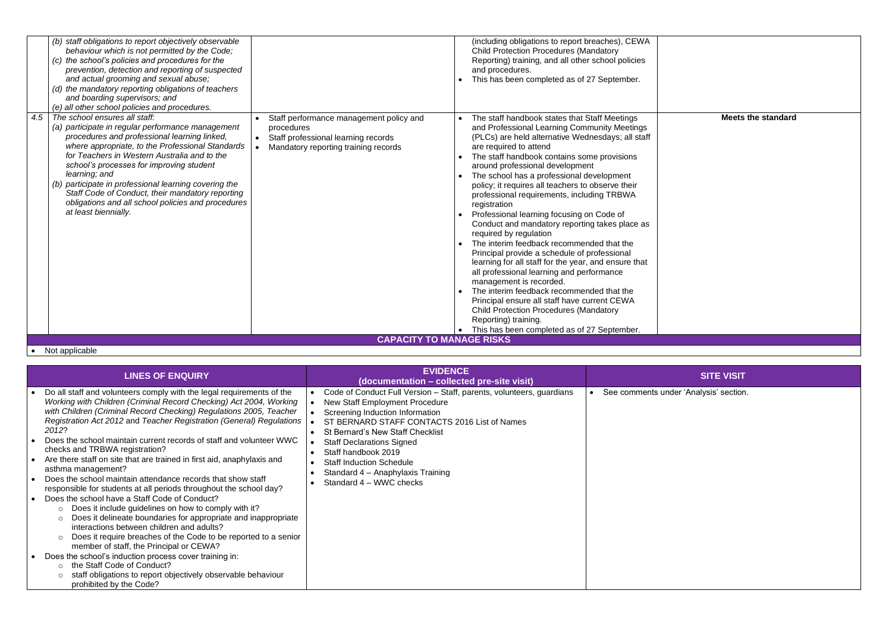|     | (b) staff obligations to report objectively observable<br>behaviour which is not permitted by the Code;<br>(c) the school's policies and procedures for the<br>prevention, detection and reporting of suspected<br>and actual grooming and sexual abuse;<br>(d) the mandatory reporting obligations of teachers<br>and boarding supervisors; and<br>(e) all other school policies and procedures.                                                                                              |                                                                                                                                      | (including obligations to report breaches), CEWA<br><b>Child Protection Procedures (Mandatory</b><br>Reporting) training, and all other school policies<br>and procedures.<br>This has been completed as of 27 September.                                                                                                                                                                                                                                                                                                                                                                                                                                                                                                                                                                                                                                                                                                                                                                                 |  |
|-----|------------------------------------------------------------------------------------------------------------------------------------------------------------------------------------------------------------------------------------------------------------------------------------------------------------------------------------------------------------------------------------------------------------------------------------------------------------------------------------------------|--------------------------------------------------------------------------------------------------------------------------------------|-----------------------------------------------------------------------------------------------------------------------------------------------------------------------------------------------------------------------------------------------------------------------------------------------------------------------------------------------------------------------------------------------------------------------------------------------------------------------------------------------------------------------------------------------------------------------------------------------------------------------------------------------------------------------------------------------------------------------------------------------------------------------------------------------------------------------------------------------------------------------------------------------------------------------------------------------------------------------------------------------------------|--|
| 4.5 | The school ensures all staff:<br>(a) participate in regular performance management<br>procedures and professional learning linked,<br>where appropriate, to the Professional Standards<br>for Teachers in Western Australia and to the<br>school's processes for improving student<br>learning; and<br>(b) participate in professional learning covering the<br>Staff Code of Conduct, their mandatory reporting<br>obligations and all school policies and procedures<br>at least biennially. | Staff performance management policy and<br>procedures<br>Staff professional learning records<br>Mandatory reporting training records | The staff handbook states that Staff Meetings<br>and Professional Learning Community Meetings<br>(PLCs) are held alternative Wednesdays; all staff<br>are required to attend<br>The staff handbook contains some provisions<br>around professional development<br>The school has a professional development<br>policy; it requires all teachers to observe their<br>professional requirements, including TRBWA<br>registration<br>Professional learning focusing on Code of<br>Conduct and mandatory reporting takes place as<br>required by regulation<br>The interim feedback recommended that the<br>Principal provide a schedule of professional<br>learning for all staff for the year, and ensure that<br>all professional learning and performance<br>management is recorded.<br>The interim feedback recommended that the<br>Principal ensure all staff have current CEWA<br><b>Child Protection Procedures (Mandatory</b><br>Reporting) training.<br>This has been completed as of 27 September. |  |
|     |                                                                                                                                                                                                                                                                                                                                                                                                                                                                                                | <b>CAPACITY TO MANAGE RISKS</b>                                                                                                      |                                                                                                                                                                                                                                                                                                                                                                                                                                                                                                                                                                                                                                                                                                                                                                                                                                                                                                                                                                                                           |  |

### • Not applicable

### **Meets the standard**

nder 'Analysis' section.

| <b>LINES OF ENQUIRY</b>                                                                                                                                                                                                                                                                                                                                                                                                                                                                                                                                                                                                                                                                                                                                                                                                                                                                                                                                                                                                                                                                                                                                                                                                          | <b>EVIDENCE</b><br>(documentation – collected pre-site visit)                                                                                                                                                                                                                                                                                                                                             | <b>SITE VISIT</b>                     |
|----------------------------------------------------------------------------------------------------------------------------------------------------------------------------------------------------------------------------------------------------------------------------------------------------------------------------------------------------------------------------------------------------------------------------------------------------------------------------------------------------------------------------------------------------------------------------------------------------------------------------------------------------------------------------------------------------------------------------------------------------------------------------------------------------------------------------------------------------------------------------------------------------------------------------------------------------------------------------------------------------------------------------------------------------------------------------------------------------------------------------------------------------------------------------------------------------------------------------------|-----------------------------------------------------------------------------------------------------------------------------------------------------------------------------------------------------------------------------------------------------------------------------------------------------------------------------------------------------------------------------------------------------------|---------------------------------------|
| Do all staff and volunteers comply with the legal requirements of the<br>Working with Children (Criminal Record Checking) Act 2004, Working<br>with Children (Criminal Record Checking) Regulations 2005, Teacher<br>Registration Act 2012 and Teacher Registration (General) Regulations<br>2012?<br>Does the school maintain current records of staff and volunteer WWC<br>checks and TRBWA registration?<br>Are there staff on site that are trained in first aid, anaphylaxis and<br>asthma management?<br>Does the school maintain attendance records that show staff<br>responsible for students at all periods throughout the school day?<br>Does the school have a Staff Code of Conduct?<br>Does it include guidelines on how to comply with it?<br>$\circ$<br>Does it delineate boundaries for appropriate and inappropriate<br>$\circ$<br>interactions between children and adults?<br>Does it require breaches of the Code to be reported to a senior<br>$\circ$<br>member of staff, the Principal or CEWA?<br>Does the school's induction process cover training in:<br>the Staff Code of Conduct?<br>$\circ$<br>staff obligations to report objectively observable behaviour<br>$\circ$<br>prohibited by the Code? | Code of Conduct Full Version - Staff, parents, volunteers, guardians<br><b>New Staff Employment Procedure</b><br>Screening Induction Information<br>ST BERNARD STAFF CONTACTS 2016 List of Names<br><b>St Bernard's New Staff Checklist</b><br><b>Staff Declarations Signed</b><br>Staff handbook 2019<br><b>Staff Induction Schedule</b><br>Standard 4 - Anaphylaxis Training<br>Standard 4 – WWC checks | See comments under 'Analysis' section |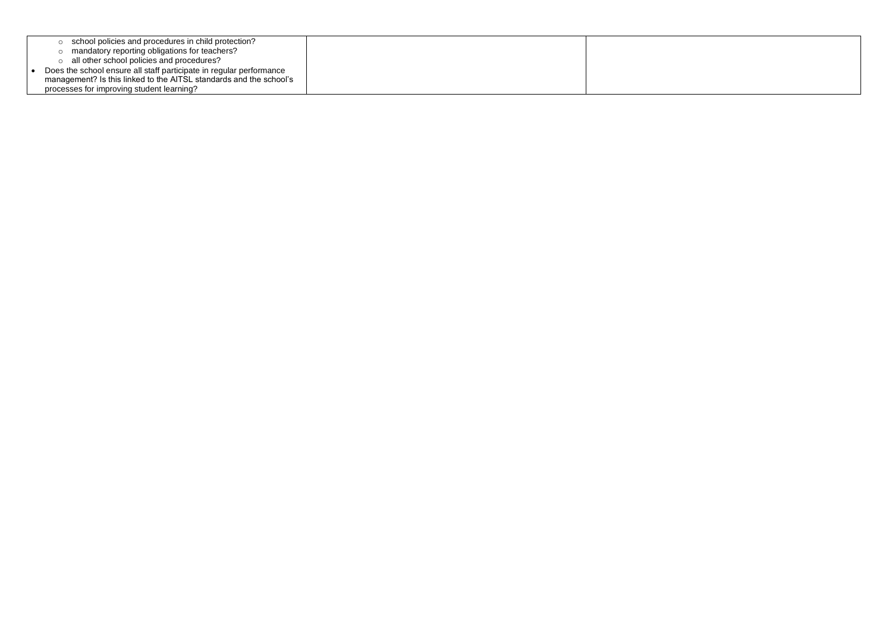|  | school policies and procedures in child protection?                 |  |
|--|---------------------------------------------------------------------|--|
|  | mandatory reporting obligations for teachers?                       |  |
|  | all other school policies and procedures?                           |  |
|  | Does the school ensure all staff participate in regular performance |  |
|  | management? Is this linked to the AITSL standards and the school's  |  |
|  | processes for improving student learning?                           |  |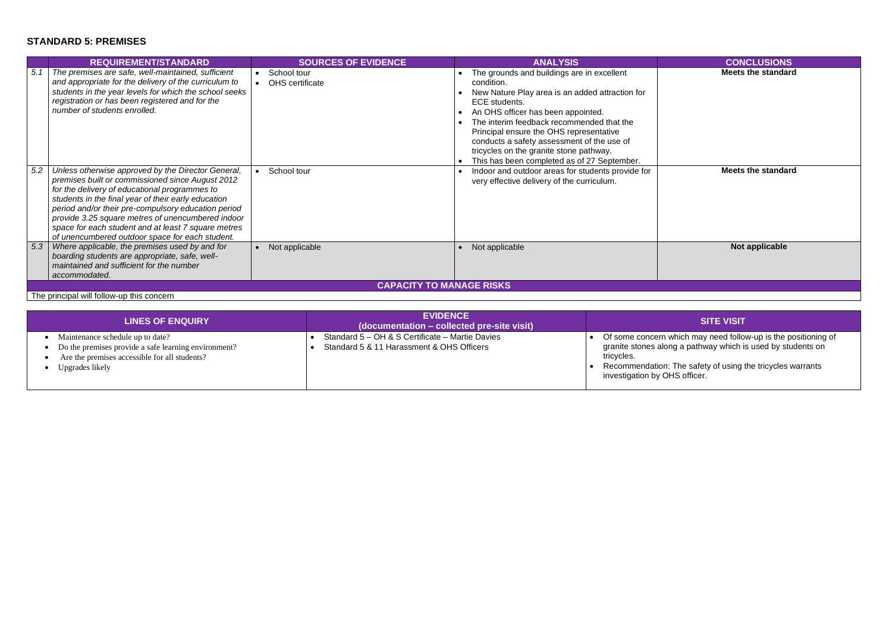# **STANDARD 5: PREMISES**

**Meets the standard**

|     | <b>REQUIREMENT/STANDARD</b>                                                                                                                                                                                                                                                                                                                                                                                                          | <b>SOURCES OF EVIDENCE</b>     | <b>ANALYSIS</b>                                                                                                                                                                                                                                                                                                                                                                                    | <b>CONCLUSIONS</b>       |  |  |
|-----|--------------------------------------------------------------------------------------------------------------------------------------------------------------------------------------------------------------------------------------------------------------------------------------------------------------------------------------------------------------------------------------------------------------------------------------|--------------------------------|----------------------------------------------------------------------------------------------------------------------------------------------------------------------------------------------------------------------------------------------------------------------------------------------------------------------------------------------------------------------------------------------------|--------------------------|--|--|
| 5.1 | The premises are safe, well-maintained, sufficient<br>and appropriate for the delivery of the curriculum to<br>students in the year levels for which the school seeks<br>registration or has been registered and for the<br>number of students enrolled.                                                                                                                                                                             | School tour<br>OHS certificate | The grounds and buildings are in excellent<br>condition.<br>New Nature Play area is an added attraction for<br>ECE students.<br>An OHS officer has been appointed.<br>The interim feedback recommended that the<br>Principal ensure the OHS representative<br>conducts a safety assessment of the use of<br>tricycles on the granite stone pathway.<br>This has been completed as of 27 September. | <b>Meets the standar</b> |  |  |
| 5.2 | Unless otherwise approved by the Director General,<br>premises built or commissioned since August 2012<br>for the delivery of educational programmes to<br>students in the final year of their early education<br>period and/or their pre-compulsory education period<br>provide 3.25 square metres of unencumbered indoor<br>space for each student and at least 7 square metres<br>of unencumbered outdoor space for each student. | School tour                    | Indoor and outdoor areas for students provide for<br>very effective delivery of the curriculum.                                                                                                                                                                                                                                                                                                    | <b>Meets the standar</b> |  |  |
| 5.3 | Where applicable, the premises used by and for<br>boarding students are appropriate, safe, well-<br>maintained and sufficient for the number<br>accommodated.                                                                                                                                                                                                                                                                        | Not applicable                 | Not applicable                                                                                                                                                                                                                                                                                                                                                                                     | Not applicable           |  |  |
|     | <b>CAPACITY TO MANAGE RISKS</b>                                                                                                                                                                                                                                                                                                                                                                                                      |                                |                                                                                                                                                                                                                                                                                                                                                                                                    |                          |  |  |

**Meets the standard**

The principal will follow-up this concern

| <b>LINES OF ENQUIRY</b>                                                                                                                                      | <b>EVIDENCE</b><br>(documentation – collected pre-site visit)                                | <b>SITE VISIT</b>                                                                                                                                                    |
|--------------------------------------------------------------------------------------------------------------------------------------------------------------|----------------------------------------------------------------------------------------------|----------------------------------------------------------------------------------------------------------------------------------------------------------------------|
| Maintenance schedule up to date?<br>Do the premises provide a safe learning environment?<br>Are the premises accessible for all students?<br>Upgrades likely | Standard 5 - OH & S Certificate - Martie Davies<br>Standard 5 & 11 Harassment & OHS Officers | Of some concern which may need follo<br>granite stones along a pathway which i<br>tricycles.<br>Recommendation: The safety of using<br>investigation by OHS officer. |

• Of some concern which may need follow-up is the positioning of granite stones along a pathway which is used by students on

• Recommendation: The safety of using the tricycles warrants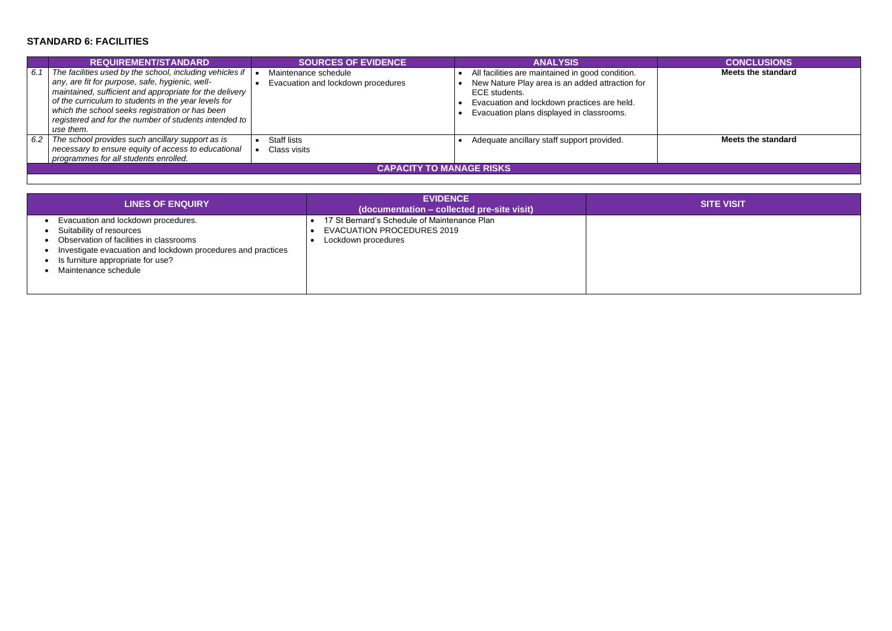### **STANDARD 6: FACILITIES**

|     | <b>REQUIREMENT/STANDARD</b>                                                                                                                                                                                                                                                                                                                             | <b>SOURCES OF EVIDENCE</b>                                 | <b>ANALYSIS</b>                                                                                                                                                                                                  | <b>CONCLUSIONS</b>       |  |  |
|-----|---------------------------------------------------------------------------------------------------------------------------------------------------------------------------------------------------------------------------------------------------------------------------------------------------------------------------------------------------------|------------------------------------------------------------|------------------------------------------------------------------------------------------------------------------------------------------------------------------------------------------------------------------|--------------------------|--|--|
| 6.1 | The facilities used by the school, including vehicles if<br>any, are fit for purpose, safe, hygienic, well-<br>maintained, sufficient and appropriate for the delivery<br>of the curriculum to students in the year levels for<br>which the school seeks registration or has been<br>registered and for the number of students intended to<br>use them. | Maintenance schedule<br>Evacuation and lockdown procedures | All facilities are maintained in good condition.<br>New Nature Play area is an added attraction for<br>ECE students.<br>Evacuation and lockdown practices are held.<br>Evacuation plans displayed in classrooms. | <b>Meets the standar</b> |  |  |
| 6.2 | The school provides such ancillary support as is<br>necessary to ensure equity of access to educational<br>programmes for all students enrolled.                                                                                                                                                                                                        | Staff lists<br>Class visits                                | Adequate ancillary staff support provided.                                                                                                                                                                       | Meets the standar        |  |  |
|     | <b>CAPACITY TO MANAGE RISKS</b>                                                                                                                                                                                                                                                                                                                         |                                                            |                                                                                                                                                                                                                  |                          |  |  |

**Meets the standard**

| <b>LINES OF ENQUIRY</b>                                                                                                                                                                                                                   | <b>EVIDENCE</b><br>(documentation – collected pre-site visit)                                            | <b>SITE VISIT</b> |
|-------------------------------------------------------------------------------------------------------------------------------------------------------------------------------------------------------------------------------------------|----------------------------------------------------------------------------------------------------------|-------------------|
| Evacuation and lockdown procedures.<br>Suitability of resources<br>Observation of facilities in classrooms<br>Investigate evacuation and lockdown procedures and practices<br>• Is furniture appropriate for use?<br>Maintenance schedule | 17 St Bernard's Schedule of Maintenance Plan<br><b>EVACUATION PROCEDURES 2019</b><br>Lockdown procedures |                   |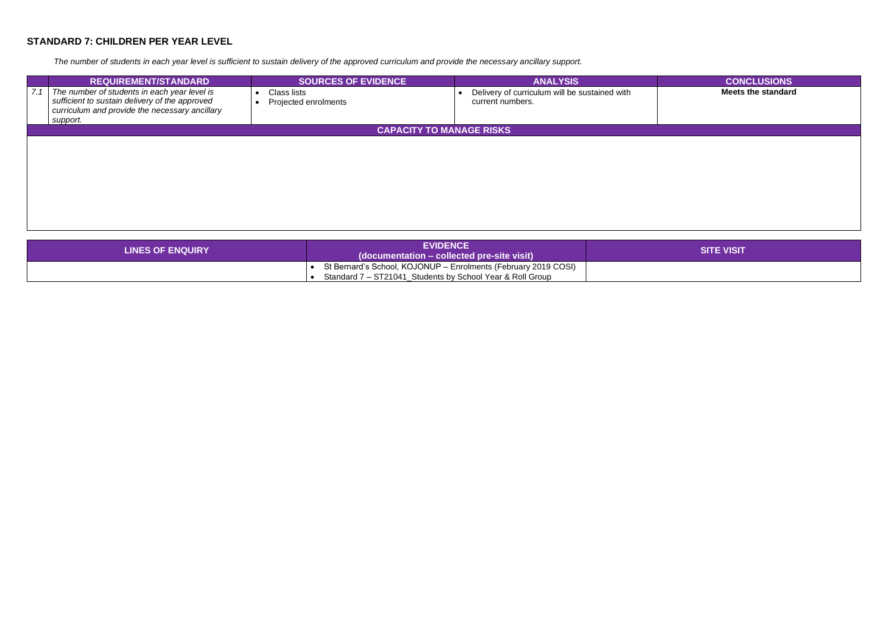# **STANDARD 7: CHILDREN PER YEAR LEVEL**

*The number of students in each year level is sufficient to sustain delivery of the approved curriculum and provide the necessary ancillary support.*

|     | <b>REQUIREMENT/STANDARD</b>                                                                                                                                  | <b>SOURCES OF EVIDENCE</b>          | <b>ANALYSIS</b>                                                   | <b>CONCLUSIONS</b>       |
|-----|--------------------------------------------------------------------------------------------------------------------------------------------------------------|-------------------------------------|-------------------------------------------------------------------|--------------------------|
| 7.1 | The number of students in each year level is<br>sufficient to sustain delivery of the approved<br>curriculum and provide the necessary ancillary<br>support. | Class lists<br>Projected enrolments | Delivery of curriculum will be sustained with<br>current numbers. | <b>Meets the standar</b> |
|     |                                                                                                                                                              | <b>CAPACITY TO MANAGE RISKS</b>     |                                                                   |                          |
|     |                                                                                                                                                              |                                     |                                                                   |                          |
|     |                                                                                                                                                              |                                     |                                                                   |                          |
|     |                                                                                                                                                              |                                     |                                                                   |                          |
|     |                                                                                                                                                              |                                     |                                                                   |                          |
|     |                                                                                                                                                              |                                     |                                                                   |                          |

| <b>LINES OF ENQUIRY</b> | <b>EVIDENCE</b><br>$\log$ (documentation – collected pre-site visit)                                                        | <b>SITE VISIT</b> |
|-------------------------|-----------------------------------------------------------------------------------------------------------------------------|-------------------|
|                         | St Bernard's School, KOJONUP - Enrolments (February 2019 COSI)<br>Standard 7 – ST21041 Students by School Year & Roll Group |                   |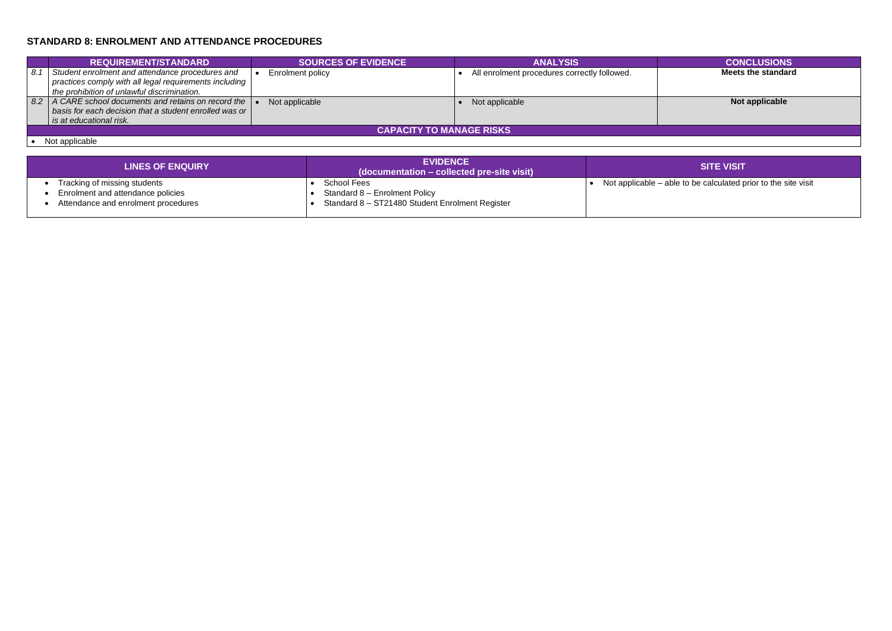# **STANDARD 8: ENROLMENT AND ATTENDANCE PROCEDURES**

|     | <b>REQUIREMENT/STANDARD</b>                                                                                                                                            |  | <b>SOURCES OF EVIDENCE</b> |  | <b>ANALYSIS</b>                              | <b>CONCLUSIONS</b> |
|-----|------------------------------------------------------------------------------------------------------------------------------------------------------------------------|--|----------------------------|--|----------------------------------------------|--------------------|
| 8.1 | Student enrolment and attendance procedures and<br>practices comply with all legal requirements including  <br>the prohibition of unlawful discrimination.             |  | Enrolment policy           |  | All enrolment procedures correctly followed. | Meets the standard |
| 8.2 | $\vert$ A CARE school documents and retains on record the $\vert \bullet \vert$<br>basis for each decision that a student enrolled was or  <br>is at educational risk. |  | Not applicable             |  | Not applicable                               | Not applicable     |
|     | <b>CAPACITY TO MANAGE RISKS</b>                                                                                                                                        |  |                            |  |                                              |                    |

• Not applicable

### • Not applicable • Not applicable **Not applicable**

ble to be calculated prior to the site visit

| <b>LINES OF ENQUIRY</b>             | <b>EVIDENCE</b><br>(documentation – collected pre-site visit) | <b>SITE VISIT</b>                                |
|-------------------------------------|---------------------------------------------------------------|--------------------------------------------------|
| Tracking of missing students        | <b>School Fees</b>                                            | Not applicable $-$ able to be calculated $\beta$ |
| Enrolment and attendance policies   | Standard 8 - Enrolment Policy                                 |                                                  |
| Attendance and enrolment procedures | Standard 8 - ST21480 Student Enrolment Register               |                                                  |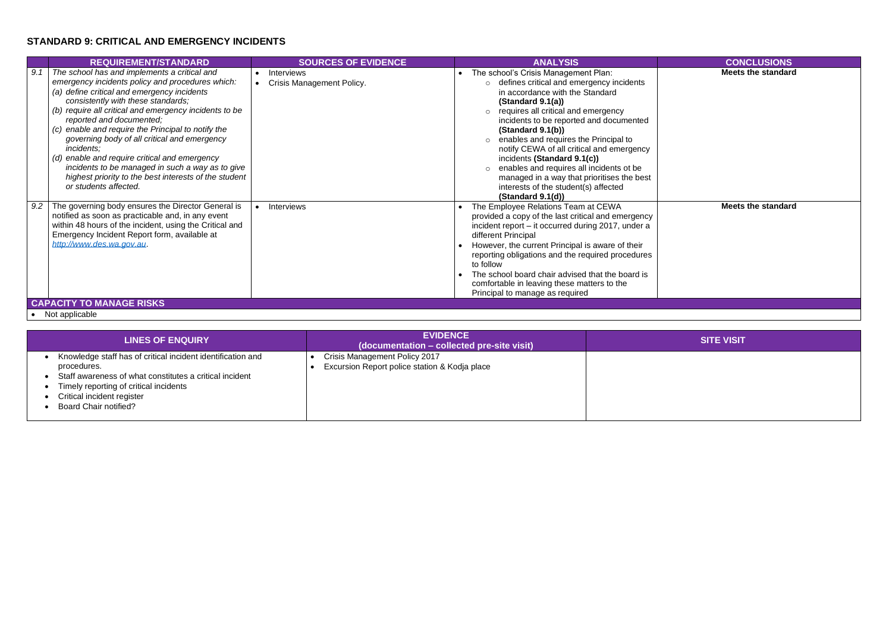# **STANDARD 9: CRITICAL AND EMERGENCY INCIDENTS**

|     | <b>REQUIREMENT/STANDARD</b>                                                                                                                                                                                                                                                                                                                                                                                                                                                                                                                                                            | <b>SOURCES OF EVIDENCE</b>                     | <b>ANALYSIS</b>                                                                                                                                                                                                                                                                                                                                                                                                                                                                                                                       | <b>CONCLUSIONS</b>       |
|-----|----------------------------------------------------------------------------------------------------------------------------------------------------------------------------------------------------------------------------------------------------------------------------------------------------------------------------------------------------------------------------------------------------------------------------------------------------------------------------------------------------------------------------------------------------------------------------------------|------------------------------------------------|---------------------------------------------------------------------------------------------------------------------------------------------------------------------------------------------------------------------------------------------------------------------------------------------------------------------------------------------------------------------------------------------------------------------------------------------------------------------------------------------------------------------------------------|--------------------------|
| 9.1 | The school has and implements a critical and<br>emergency incidents policy and procedures which:<br>(a) define critical and emergency incidents<br>consistently with these standards;<br>(b) require all critical and emergency incidents to be<br>reported and documented;<br>(c) enable and require the Principal to notify the<br>governing body of all critical and emergency<br>incidents;<br>(d) enable and require critical and emergency<br>incidents to be managed in such a way as to give<br>highest priority to the best interests of the student<br>or students affected. | Interviews<br><b>Crisis Management Policy.</b> | The school's Crisis Management Plan:<br>o defines critical and emergency incidents<br>in accordance with the Standard<br>(Standard 9.1(a))<br>$\circ$ requires all critical and emergency<br>incidents to be reported and documented<br>(Standard 9.1(b))<br>enables and requires the Principal to<br>notify CEWA of all critical and emergency<br>incidents (Standard 9.1(c))<br>enables and requires all incidents ot be<br>managed in a way that prioritises the best<br>interests of the student(s) affected<br>(Standard 9.1(d)) | <b>Meets the standar</b> |
| 9.2 | The governing body ensures the Director General is<br>notified as soon as practicable and, in any event<br>within 48 hours of the incident, using the Critical and<br>Emergency Incident Report form, available at<br>http://www.des.wa.gov.au                                                                                                                                                                                                                                                                                                                                         | Interviews                                     | The Employee Relations Team at CEWA<br>provided a copy of the last critical and emergency<br>incident report - it occurred during 2017, under a<br>different Principal<br>However, the current Principal is aware of their<br>reporting obligations and the required procedures<br>to follow<br>The school board chair advised that the board is<br>comfortable in leaving these matters to the<br>Principal to manage as required                                                                                                    | <b>Meets the standar</b> |
|     | <b>CAPACITY TO MANAGE RISKS</b>                                                                                                                                                                                                                                                                                                                                                                                                                                                                                                                                                        |                                                |                                                                                                                                                                                                                                                                                                                                                                                                                                                                                                                                       |                          |

• Not applicable

**Meets the standard**

| <b>LINES OF ENQUIRY</b>                                                                                                                                                                                                                       | <b>EVIDENCE</b><br>(documentation – collected pre-site visit)                  | <b>SITE VISIT</b> |
|-----------------------------------------------------------------------------------------------------------------------------------------------------------------------------------------------------------------------------------------------|--------------------------------------------------------------------------------|-------------------|
| Knowledge staff has of critical incident identification and<br>procedures.<br>Staff awareness of what constitutes a critical incident<br>Timely reporting of critical incidents<br>Critical incident register<br><b>Board Chair notified?</b> | Crisis Management Policy 2017<br>Excursion Report police station & Kodja place |                   |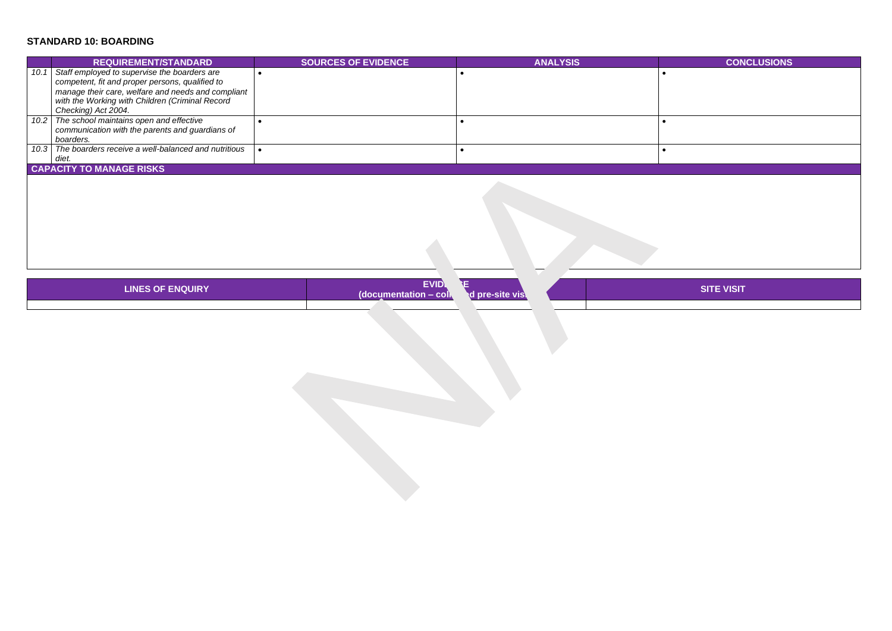# **STANDARD 10: BOARDING**

# **REQUIREMENT/STANDARD SOURCES OF EVIDENCE ANALYSIS CONCLUSIONS**

|      | <b>REQUIREMENT/STANDARD</b>                                                                                                                                                                                                     | <b>SOURCES OF EVIDENCE</b> | <b>ANALYSIS</b> |  |  |  |
|------|---------------------------------------------------------------------------------------------------------------------------------------------------------------------------------------------------------------------------------|----------------------------|-----------------|--|--|--|
| 10.1 | Staff employed to supervise the boarders are<br>competent, fit and proper persons, qualified to<br>manage their care, welfare and needs and compliant<br>with the Working with Children (Criminal Record<br>Checking) Act 2004. |                            |                 |  |  |  |
|      | 10.2 The school maintains open and effective<br>communication with the parents and guardians of<br>boarders.                                                                                                                    |                            |                 |  |  |  |
|      | 10.3 The boarders receive a well-balanced and nutritious<br>diet.                                                                                                                                                               |                            |                 |  |  |  |
|      | <b>CAPACITY TO MANAGE RISKS</b>                                                                                                                                                                                                 |                            |                 |  |  |  |

| <b>LINES OF ENQUIRY</b> | <b>EVID</b><br>$\blacksquare$ COIN<br>(documentation - | ·site vist<br>а |  |
|-------------------------|--------------------------------------------------------|-----------------|--|
|                         |                                                        |                 |  |
|                         |                                                        |                 |  |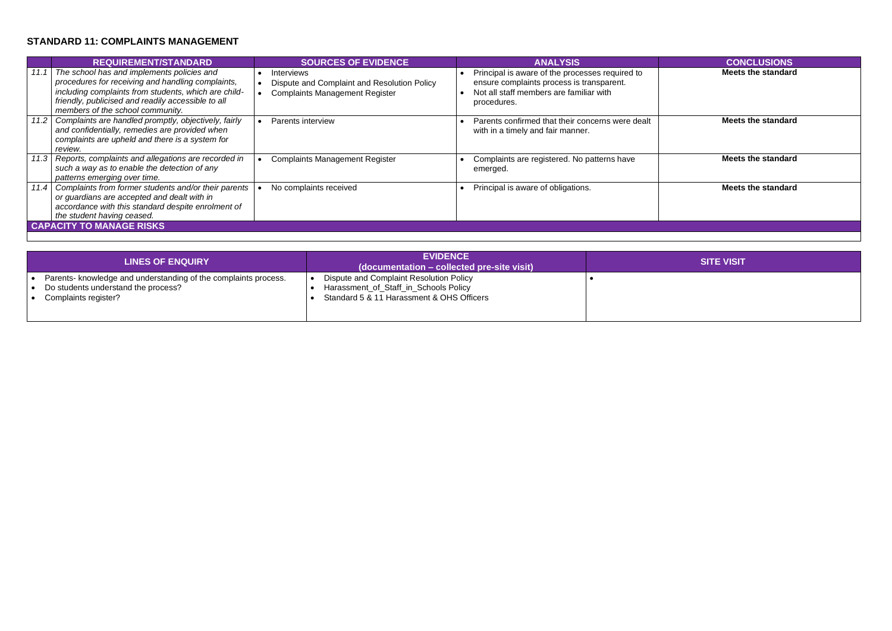### **STANDARD 11: COMPLAINTS MANAGEMENT**

|      | <b>REQUIREMENT/STANDARD</b>                                                                                                                                                                                                                       | <b>SOURCES OF EVIDENCE</b>                                                                                | <b>ANALYSIS</b>                                                                                                                                        | <b>CONCLUSIONS</b>        |  |  |  |
|------|---------------------------------------------------------------------------------------------------------------------------------------------------------------------------------------------------------------------------------------------------|-----------------------------------------------------------------------------------------------------------|--------------------------------------------------------------------------------------------------------------------------------------------------------|---------------------------|--|--|--|
|      | The school has and implements policies and<br>procedures for receiving and handling complaints,<br>including complaints from students, which are child-<br>friendly, publicised and readily accessible to all<br>members of the school community. | <b>Interviews</b><br>Dispute and Complaint and Resolution Policy<br><b>Complaints Management Register</b> | Principal is aware of the processes required to<br>ensure complaints process is transparent.<br>Not all staff members are familiar with<br>procedures. | <b>Meets the standard</b> |  |  |  |
| 11.2 | Complaints are handled promptly, objectively, fairly<br>and confidentially, remedies are provided when<br>complaints are upheld and there is a system for<br>review.                                                                              | Parents interview                                                                                         | Parents confirmed that their concerns were dealt<br>with in a timely and fair manner.                                                                  | <b>Meets the standard</b> |  |  |  |
| 11.3 | Reports, complaints and allegations are recorded in<br>such a way as to enable the detection of any<br>patterns emerging over time.                                                                                                               | <b>Complaints Management Register</b>                                                                     | Complaints are registered. No patterns have<br>emerged.                                                                                                | <b>Meets the standard</b> |  |  |  |
| 11.4 | Complaints from former students and/or their parents<br>or guardians are accepted and dealt with in<br>accordance with this standard despite enrolment of<br>the student having ceased.                                                           | No complaints received                                                                                    | Principal is aware of obligations.                                                                                                                     | <b>Meets the standard</b> |  |  |  |
|      | <b>CAPACITY TO MANAGE RISKS</b>                                                                                                                                                                                                                   |                                                                                                           |                                                                                                                                                        |                           |  |  |  |

| <b>CONCLUSIONS</b>        |
|---------------------------|
| <b>Meets the standard</b> |
|                           |
|                           |
|                           |
|                           |
| <b>Meets the standard</b> |
|                           |
|                           |
| <b>Meets the standard</b> |
|                           |
|                           |
| <b>Meets the standard</b> |
|                           |
|                           |
|                           |
|                           |
|                           |

| <b>LINES OF ENQUIRY</b>                                                                                                        | <b>EVIDENCE</b><br>(documentation – collected pre-site visit)                                                                 | <b>SITE VISIT</b> |
|--------------------------------------------------------------------------------------------------------------------------------|-------------------------------------------------------------------------------------------------------------------------------|-------------------|
| Parents- knowledge and understanding of the complaints process.<br>Do students understand the process?<br>Complaints register? | Dispute and Complaint Resolution Policy<br>Harassment_of_Staff_in_Schools Policy<br>Standard 5 & 11 Harassment & OHS Officers |                   |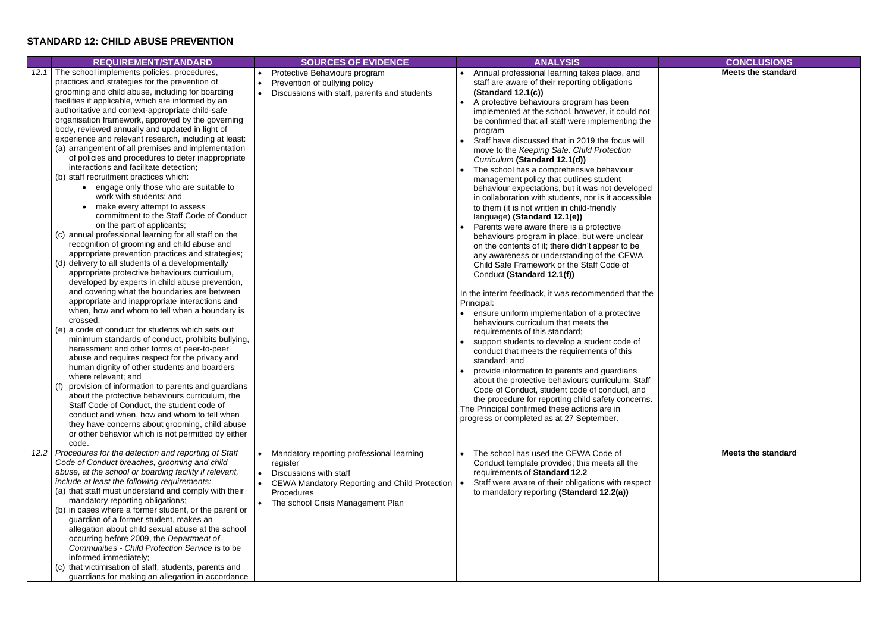# **STANDARD 12: CHILD ABUSE PREVENTION**

|      | <b>REQUIREMENT/STANDARD</b>                                                                                                                                                                                                                                                                                                                                                                                                                                                                                                                                                                                                                                                                                                                                                                                                                                                                                                                                                                                                                                                                                                                                                                                                                                                                                                                                                                                                                                                                                                                                                                                                                                                                                                                                                                                                                                                                           | <b>SOURCES OF EVIDENCE</b>                                                                                                                                                              | <b>ANALYSIS</b>                                                                                                                                                                                                                                                                                                                                                                                                                                                                                                                                                                                                                                                                                                                                                                                                                                                                                                                                                                                                                                                                                                                                                                                                                                                                                                                                                                                                                                                                                                                                                                                                               | <b>CONCLUSIONS</b>       |
|------|-------------------------------------------------------------------------------------------------------------------------------------------------------------------------------------------------------------------------------------------------------------------------------------------------------------------------------------------------------------------------------------------------------------------------------------------------------------------------------------------------------------------------------------------------------------------------------------------------------------------------------------------------------------------------------------------------------------------------------------------------------------------------------------------------------------------------------------------------------------------------------------------------------------------------------------------------------------------------------------------------------------------------------------------------------------------------------------------------------------------------------------------------------------------------------------------------------------------------------------------------------------------------------------------------------------------------------------------------------------------------------------------------------------------------------------------------------------------------------------------------------------------------------------------------------------------------------------------------------------------------------------------------------------------------------------------------------------------------------------------------------------------------------------------------------------------------------------------------------------------------------------------------------|-----------------------------------------------------------------------------------------------------------------------------------------------------------------------------------------|-------------------------------------------------------------------------------------------------------------------------------------------------------------------------------------------------------------------------------------------------------------------------------------------------------------------------------------------------------------------------------------------------------------------------------------------------------------------------------------------------------------------------------------------------------------------------------------------------------------------------------------------------------------------------------------------------------------------------------------------------------------------------------------------------------------------------------------------------------------------------------------------------------------------------------------------------------------------------------------------------------------------------------------------------------------------------------------------------------------------------------------------------------------------------------------------------------------------------------------------------------------------------------------------------------------------------------------------------------------------------------------------------------------------------------------------------------------------------------------------------------------------------------------------------------------------------------------------------------------------------------|--------------------------|
| 12.1 | The school implements policies, procedures,<br>practices and strategies for the prevention of<br>grooming and child abuse, including for boarding<br>facilities if applicable, which are informed by an<br>authoritative and context-appropriate child-safe<br>organisation framework, approved by the governing<br>body, reviewed annually and updated in light of<br>experience and relevant research, including at least:<br>(a) arrangement of all premises and implementation<br>of policies and procedures to deter inappropriate<br>interactions and facilitate detection;<br>(b) staff recruitment practices which:<br>• engage only those who are suitable to<br>work with students; and<br>make every attempt to assess<br>commitment to the Staff Code of Conduct<br>on the part of applicants;<br>(c) annual professional learning for all staff on the<br>recognition of grooming and child abuse and<br>appropriate prevention practices and strategies;<br>(d) delivery to all students of a developmentally<br>appropriate protective behaviours curriculum,<br>developed by experts in child abuse prevention,<br>and covering what the boundaries are between<br>appropriate and inappropriate interactions and<br>when, how and whom to tell when a boundary is<br>crossed;<br>(e) a code of conduct for students which sets out<br>minimum standards of conduct, prohibits bullying,<br>harassment and other forms of peer-to-peer<br>abuse and requires respect for the privacy and<br>human dignity of other students and boarders<br>where relevant; and<br>provision of information to parents and guardians<br>about the protective behaviours curriculum, the<br>Staff Code of Conduct, the student code of<br>conduct and when, how and whom to tell when<br>they have concerns about grooming, child abuse<br>or other behavior which is not permitted by either<br>code. | Protective Behaviours program<br>Prevention of bullying policy<br>$\bullet$<br>Discussions with staff, parents and students<br>$\bullet$                                                | Annual professional learning takes place, and<br>staff are aware of their reporting obligations<br>(Standard 12.1(c))<br>A protective behaviours program has been<br>$\bullet$<br>implemented at the school, however, it could not<br>be confirmed that all staff were implementing the<br>program<br>Staff have discussed that in 2019 the focus will<br>move to the Keeping Safe: Child Protection<br>Curriculum (Standard 12.1(d))<br>The school has a comprehensive behaviour<br>management policy that outlines student<br>behaviour expectations, but it was not developed<br>in collaboration with students, nor is it accessible<br>to them (it is not written in child-friendly<br>language) (Standard 12.1(e))<br>Parents were aware there is a protective<br>behaviours program in place, but were unclear<br>on the contents of it; there didn't appear to be<br>any awareness or understanding of the CEWA<br>Child Safe Framework or the Staff Code of<br>Conduct (Standard 12.1(f))<br>In the interim feedback, it was recommended that the<br>Principal:<br>ensure uniform implementation of a protective<br>behaviours curriculum that meets the<br>requirements of this standard;<br>support students to develop a student code of<br>conduct that meets the requirements of this<br>standard; and<br>provide information to parents and guardians<br>about the protective behaviours curriculum, Staff<br>Code of Conduct, student code of conduct, and<br>the procedure for reporting child safety concerns.<br>The Principal confirmed these actions are in<br>progress or completed as at 27 September. | <b>Meets the standar</b> |
| 12.2 | Procedures for the detection and reporting of Staff<br>Code of Conduct breaches, grooming and child<br>abuse, at the school or boarding facility if relevant,<br>include at least the following requirements:<br>(a) that staff must understand and comply with their<br>mandatory reporting obligations;<br>(b) in cases where a former student, or the parent or<br>guardian of a former student, makes an<br>allegation about child sexual abuse at the school<br>occurring before 2009, the Department of<br>Communities - Child Protection Service is to be<br>informed immediately;<br>(c) that victimisation of staff, students, parents and<br>guardians for making an allegation in accordance                                                                                                                                                                                                                                                                                                                                                                                                                                                                                                                                                                                                                                                                                                                                                                                                                                                                                                                                                                                                                                                                                                                                                                                               | Mandatory reporting professional learning<br>register<br>Discussions with staff<br>CEWA Mandatory Reporting and Child Protection   •<br>Procedures<br>The school Crisis Management Plan | The school has used the CEWA Code of<br>$\bullet$<br>Conduct template provided; this meets all the<br>requirements of Standard 12.2<br>Staff were aware of their obligations with respect<br>to mandatory reporting (Standard 12.2(a))                                                                                                                                                                                                                                                                                                                                                                                                                                                                                                                                                                                                                                                                                                                                                                                                                                                                                                                                                                                                                                                                                                                                                                                                                                                                                                                                                                                        | <b>Meets the standar</b> |

**Meets the standard**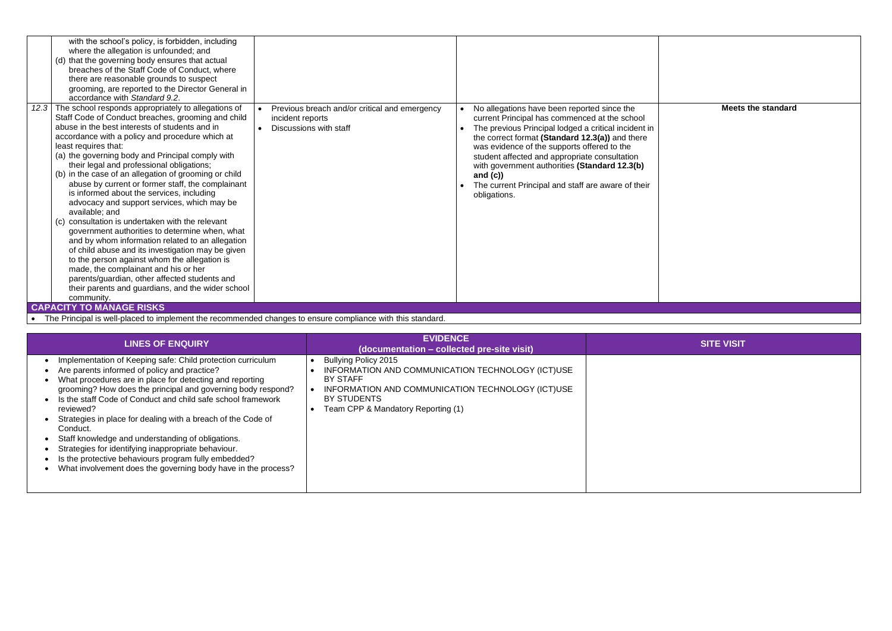|      | with the school's policy, is forbidden, including<br>where the allegation is unfounded; and<br>(d) that the governing body ensures that actual<br>breaches of the Staff Code of Conduct, where<br>there are reasonable grounds to suspect<br>grooming, are reported to the Director General in<br>accordance with Standard 9.2.                                                                                                                                                                                                                                                                                                                                                                                                                                                                                                                                                                                                                                                                   |                                                                                             |                                                                                                                                                                                                                                                                                                                                                                                                                                             |
|------|---------------------------------------------------------------------------------------------------------------------------------------------------------------------------------------------------------------------------------------------------------------------------------------------------------------------------------------------------------------------------------------------------------------------------------------------------------------------------------------------------------------------------------------------------------------------------------------------------------------------------------------------------------------------------------------------------------------------------------------------------------------------------------------------------------------------------------------------------------------------------------------------------------------------------------------------------------------------------------------------------|---------------------------------------------------------------------------------------------|---------------------------------------------------------------------------------------------------------------------------------------------------------------------------------------------------------------------------------------------------------------------------------------------------------------------------------------------------------------------------------------------------------------------------------------------|
| 12.3 | The school responds appropriately to allegations of<br>Staff Code of Conduct breaches, grooming and child<br>abuse in the best interests of students and in<br>accordance with a policy and procedure which at<br>least requires that:<br>(a) the governing body and Principal comply with<br>their legal and professional obligations;<br>(b) in the case of an allegation of grooming or child<br>abuse by current or former staff, the complainant<br>is informed about the services, including<br>advocacy and support services, which may be<br>available; and<br>consultation is undertaken with the relevant<br>(C)<br>government authorities to determine when, what<br>and by whom information related to an allegation<br>of child abuse and its investigation may be given<br>to the person against whom the allegation is<br>made, the complainant and his or her<br>parents/guardian, other affected students and<br>their parents and guardians, and the wider school<br>community. | Previous breach and/or critical and emergency<br>incident reports<br>Discussions with staff | No allegations have been reported since the<br>current Principal has commenced at the school<br>The previous Principal lodged a critical incident in<br>the correct format (Standard 12.3(a)) and there<br>was evidence of the supports offered to the<br>student affected and appropriate consultation<br>with government authorities (Standard 12.3(b)<br>and $(c)$<br>The current Principal and staff are aware of their<br>obligations. |
|      | <b>CAPACITY TO MANAGE RISKS</b>                                                                                                                                                                                                                                                                                                                                                                                                                                                                                                                                                                                                                                                                                                                                                                                                                                                                                                                                                                   |                                                                                             |                                                                                                                                                                                                                                                                                                                                                                                                                                             |

### **Meets the standard**

• The Principal is well-placed to implement the recommended changes to ensure compliance with this standard.

| <b>LINES OF ENQUIRY</b>                                                                                                                                                                                                                                                                                                                                                                                                                                                                                                                                                                                                               | <b>EVIDENCE</b><br>(documentation – collected pre-site visit)                                                                                                                                          | <b>SITE VISIT</b> |
|---------------------------------------------------------------------------------------------------------------------------------------------------------------------------------------------------------------------------------------------------------------------------------------------------------------------------------------------------------------------------------------------------------------------------------------------------------------------------------------------------------------------------------------------------------------------------------------------------------------------------------------|--------------------------------------------------------------------------------------------------------------------------------------------------------------------------------------------------------|-------------------|
| Implementation of Keeping safe: Child protection curriculum<br>Are parents informed of policy and practice?<br>What procedures are in place for detecting and reporting<br>grooming? How does the principal and governing body respond?<br>Is the staff Code of Conduct and child safe school framework<br>reviewed?<br>Strategies in place for dealing with a breach of the Code of<br>Conduct.<br>Staff knowledge and understanding of obligations.<br>Strategies for identifying inappropriate behaviour.<br>Is the protective behaviours program fully embedded?<br>What involvement does the governing body have in the process? | Bullying Policy 2015<br>INFORMATION AND COMMUNICATION TECHNOLOGY (ICT)USE<br><b>BY STAFF</b><br>INFORMATION AND COMMUNICATION TECHNOLOGY (ICT)USE<br>BY STUDENTS<br>Team CPP & Mandatory Reporting (1) |                   |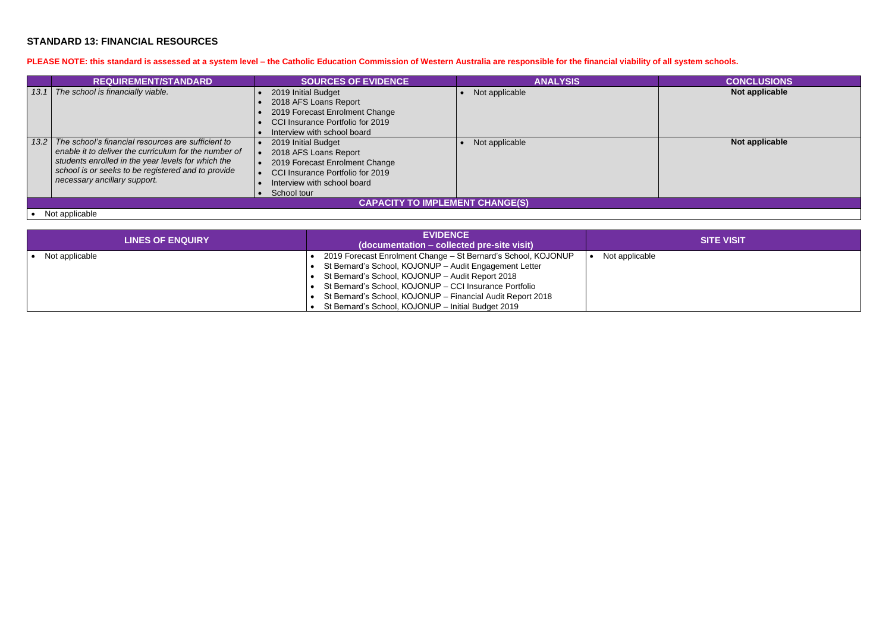### **STANDARD 13: FINANCIAL RESOURCES**

### **PLEASE NOTE: this standard is assessed at a system level – the Catholic Education Commission of Western Australia are responsible for the financial viability of all system schools.**

|      | <b>REQUIREMENT/STANDARD</b>                           | <b>SOURCES OF EVIDENCE</b>       | <b>ANALYSIS</b> | <b>CONCLUSIONS</b> |  |
|------|-------------------------------------------------------|----------------------------------|-----------------|--------------------|--|
| 13.1 | The school is financially viable.                     | 2019 Initial Budget              | Not applicable  | Not applicable     |  |
|      |                                                       | 2018 AFS Loans Report            |                 |                    |  |
|      |                                                       | 2019 Forecast Enrolment Change   |                 |                    |  |
|      |                                                       | CCI Insurance Portfolio for 2019 |                 |                    |  |
|      |                                                       | Interview with school board      |                 |                    |  |
| 13.2 | The school's financial resources are sufficient to    | 2019 Initial Budget              | Not applicable  | Not applicable     |  |
|      | enable it to deliver the curriculum for the number of | 2018 AFS Loans Report            |                 |                    |  |
|      | students enrolled in the year levels for which the    | 2019 Forecast Enrolment Change   |                 |                    |  |
|      | school is or seeks to be registered and to provide    | CCI Insurance Portfolio for 2019 |                 |                    |  |
|      | necessary ancillary support.                          | Interview with school board      |                 |                    |  |
|      |                                                       | School tour                      |                 |                    |  |
|      | CAPACITY TO IMPLEMENT CHANGE(S)                       |                                  |                 |                    |  |

### • Not applicable

| <b>LINES OF ENQUIRY</b> | <b>EVIDENCE</b><br>(documentation – collected pre-site visit)                                                           | <b>SITE VISIT</b> |
|-------------------------|-------------------------------------------------------------------------------------------------------------------------|-------------------|
| Not applicable          | 2019 Forecast Enrolment Change - St Bernard's School, KOJONUP<br>St Bernard's School, KOJONUP - Audit Engagement Letter | Not applicable    |
|                         | St Bernard's School, KOJONUP - Audit Report 2018<br>St Bernard's School, KOJONUP - CCI Insurance Portfolio              |                   |
|                         | St Bernard's School, KOJONUP - Financial Audit Report 2018<br>St Bernard's School, KOJONUP - Initial Budget 2019        |                   |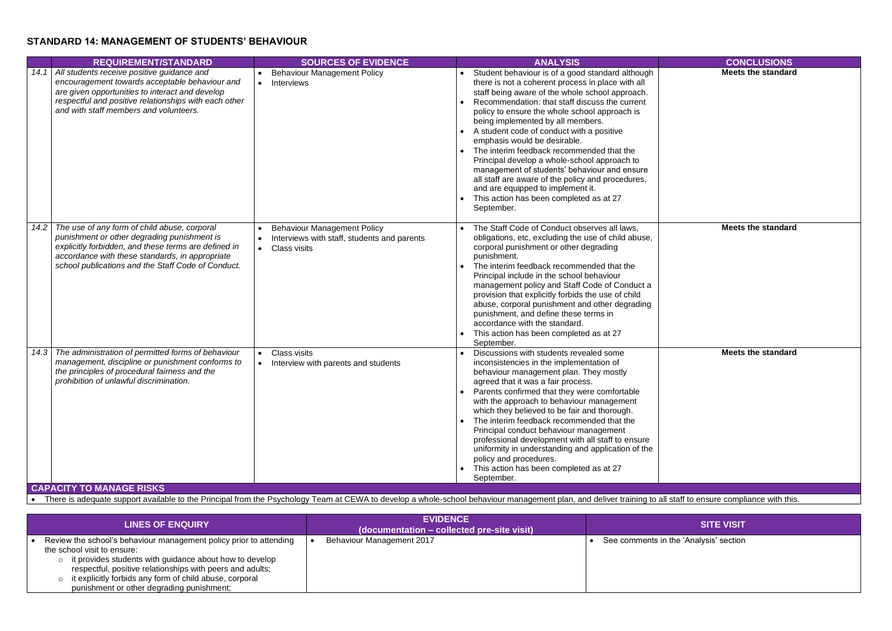### **STANDARD 14: MANAGEMENT OF STUDENTS' BEHAVIOUR**

**Meets the standard**

|      | <b>REQUIREMENT/STANDARD</b>                                                                                                                                                                                                                                  | <b>SOURCES OF EVIDENCE</b>                                                                                                         | <b>ANALYSIS</b>                                                                                                                                                                                                                                                                                                                                                                                                                                                                                                                                                                                                                                                               | <b>CONCLUSIONS</b>       |
|------|--------------------------------------------------------------------------------------------------------------------------------------------------------------------------------------------------------------------------------------------------------------|------------------------------------------------------------------------------------------------------------------------------------|-------------------------------------------------------------------------------------------------------------------------------------------------------------------------------------------------------------------------------------------------------------------------------------------------------------------------------------------------------------------------------------------------------------------------------------------------------------------------------------------------------------------------------------------------------------------------------------------------------------------------------------------------------------------------------|--------------------------|
| 14.1 | All students receive positive guidance and<br>encouragement towards acceptable behaviour and<br>are given opportunities to interact and develop<br>respectful and positive relationships with each other<br>and with staff members and volunteers.           | <b>Behaviour Management Policy</b><br>Interviews<br>$\bullet$                                                                      | Student behaviour is of a good standard although<br>there is not a coherent process in place with all<br>staff being aware of the whole school approach.<br>Recommendation: that staff discuss the current<br>policy to ensure the whole school approach is<br>being implemented by all members.<br>A student code of conduct with a positive<br>emphasis would be desirable.<br>The interim feedback recommended that the<br>Principal develop a whole-school approach to<br>management of students' behaviour and ensure<br>all staff are aware of the policy and procedures,<br>and are equipped to implement it.<br>This action has been completed as at 27<br>September. | <b>Meets the standar</b> |
| 14.2 | The use of any form of child abuse, corporal<br>punishment or other degrading punishment is<br>explicitly forbidden, and these terms are defined in<br>accordance with these standards, in appropriate<br>school publications and the Staff Code of Conduct. | <b>Behaviour Management Policy</b><br>Interviews with staff, students and parents<br>$\bullet$<br><b>Class visits</b><br>$\bullet$ | The Staff Code of Conduct observes all laws,<br>obligations, etc, excluding the use of child abuse,<br>corporal punishment or other degrading<br>punishment.<br>The interim feedback recommended that the<br>Principal include in the school behaviour<br>management policy and Staff Code of Conduct a<br>provision that explicitly forbids the use of child<br>abuse, corporal punishment and other degrading<br>punishment, and define these terms in<br>accordance with the standard.<br>This action has been completed as at 27<br>September.                                                                                                                            | <b>Meets the standar</b> |
| 14.3 | The administration of permitted forms of behaviour<br>management, discipline or punishment conforms to<br>the principles of procedural fairness and the<br>prohibition of unlawful discrimination.                                                           | <b>Class visits</b><br>$\bullet$<br>Interview with parents and students<br>$\bullet$                                               | Discussions with students revealed some<br>inconsistencies in the implementation of<br>behaviour management plan. They mostly<br>agreed that it was a fair process.<br>Parents confirmed that they were comfortable<br>with the approach to behaviour management<br>which they believed to be fair and thorough.<br>The interim feedback recommended that the<br>Principal conduct behaviour management<br>professional development with all staff to ensure<br>uniformity in understanding and application of the<br>policy and procedures.<br>This action has been completed as at 27<br>September.                                                                         | <b>Meets the standar</b> |

**Meets the standard**

**Meets the standard**

**CAPACITY TO MANAGE RISKS**

• There is adequate support available to the Principal from the Psychology Team at CEWA to develop a whole-school behaviour management plan, and deliver training to all staff to ensure compliance with this.

| <b>LINES OF ENQUIRY</b>                                                                                                                                                                                                                                                                                                                      | <b>EVIDENCE</b><br>$\overline{\mathbf{q}}$ (documentation – collected pre-site visit) | <b>SITE VISIT</b>                      |
|----------------------------------------------------------------------------------------------------------------------------------------------------------------------------------------------------------------------------------------------------------------------------------------------------------------------------------------------|---------------------------------------------------------------------------------------|----------------------------------------|
| Review the school's behaviour management policy prior to attending<br>the school visit to ensure:<br>it provides students with guidance about how to develop<br>$\circ$<br>respectful, positive relationships with peers and adults;<br>it explicitly forbids any form of child abuse, corporal<br>punishment or other degrading punishment; | Behaviour Management 2017                                                             | See comments in the 'Analysis' section |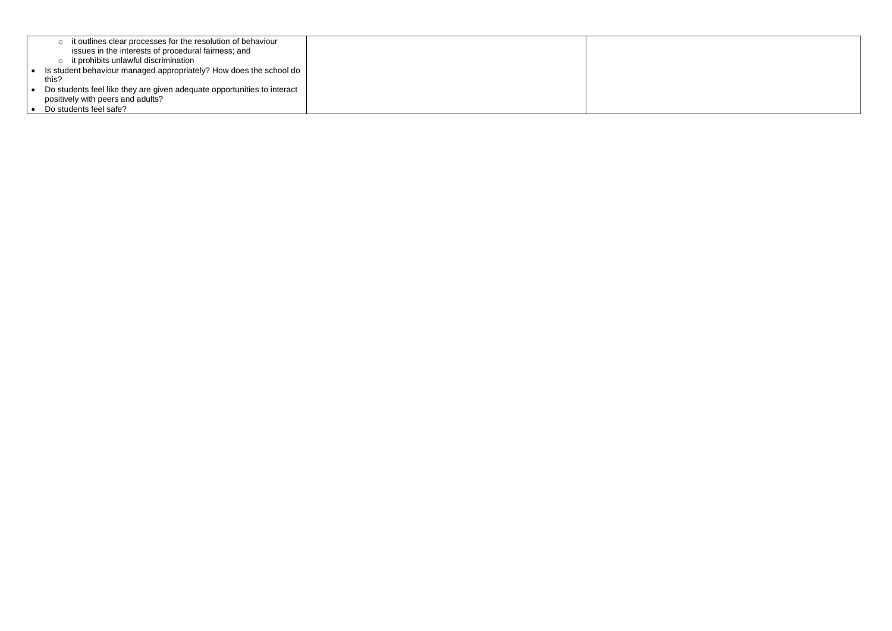| it outlines clear processes for the resolution of behaviour<br>O<br>issues in the interests of procedural fairness; and |  |
|-------------------------------------------------------------------------------------------------------------------------|--|
| it prohibits unlawful discrimination<br>$\circ$                                                                         |  |
| • Is student behaviour managed appropriately? How does the school do                                                    |  |
| this?                                                                                                                   |  |
| • Do students feel like they are given adequate opportunities to interact                                               |  |
| positively with peers and adults?                                                                                       |  |
| • Do students feel safe?                                                                                                |  |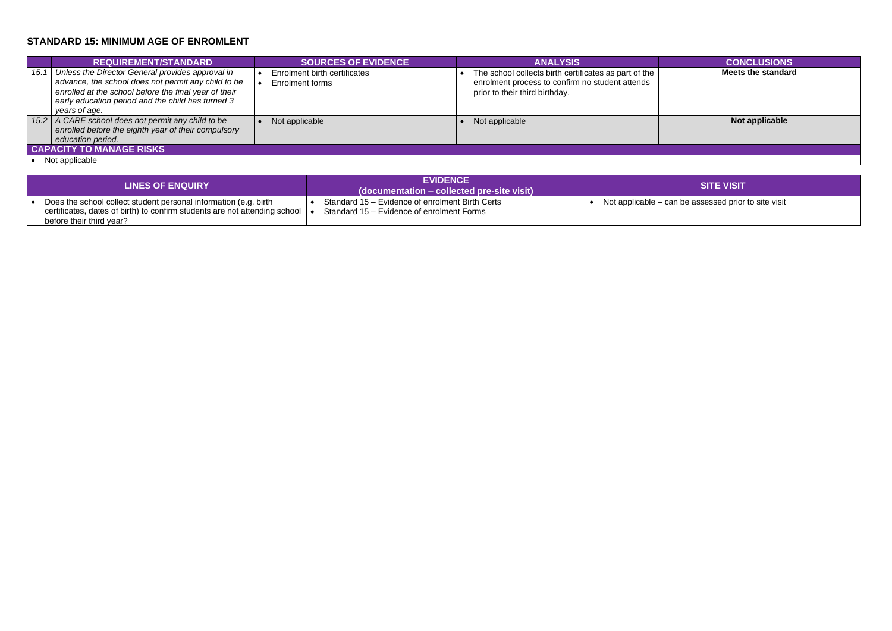## **STANDARD 15: MINIMUM AGE OF ENROMLENT**

|      | <b>REQUIREMENT/STANDARD</b>                                                                                                                                                                                                            | <b>SOURCES OF EVIDENCE</b>                      | <b>ANALYSIS</b>                                                                                                                            | <b>CONCLUSIONS</b>       |
|------|----------------------------------------------------------------------------------------------------------------------------------------------------------------------------------------------------------------------------------------|-------------------------------------------------|--------------------------------------------------------------------------------------------------------------------------------------------|--------------------------|
|      |                                                                                                                                                                                                                                        |                                                 |                                                                                                                                            |                          |
| 15.1 | Unless the Director General provides approval in<br>advance, the school does not permit any child to be<br>enrolled at the school before the final year of their<br>early education period and the child has turned 3<br>years of age. | Enrolment birth certificates<br>Enrolment forms | The school collects birth certificates as part of the<br>enrolment process to confirm no student attends<br>prior to their third birthday. | <b>Meets the standar</b> |
| 15.2 | A CARE school does not permit any child to be<br>enrolled before the eighth year of their compulsory<br>education period.                                                                                                              | Not applicable                                  | Not applicable                                                                                                                             | Not applicable           |
|      | <b>CAPACITY TO MANAGE RISKS</b>                                                                                                                                                                                                        |                                                 |                                                                                                                                            |                          |
|      | Natasalaahla                                                                                                                                                                                                                           |                                                 |                                                                                                                                            |                          |

**Meets the standard**

an be assessed prior to site visit

| Not applicable |  |
|----------------|--|
|----------------|--|

| <b>LINES OF ENQUIRY</b>                                                                                                                                                                          | <b>EVIDENCE</b><br>$\blacksquare$ (documentation – collected pre-site visit) $\blacksquare$  | <b>SITE VISIT</b>                      |
|--------------------------------------------------------------------------------------------------------------------------------------------------------------------------------------------------|----------------------------------------------------------------------------------------------|----------------------------------------|
| Does the school collect student personal information (e.g. birth<br>certificates, dates of birth) to confirm students are not attending school $\vert \bullet \vert$<br>before their third year? | Standard 15 – Evidence of enrolment Birth Certs<br>Standard 15 – Evidence of enrolment Forms | Not applicable – can be assessed prior |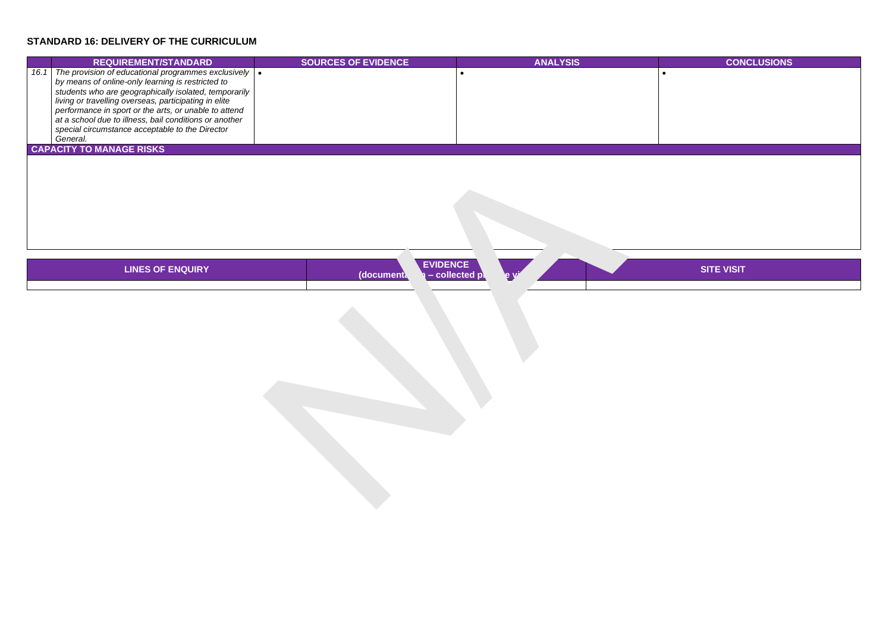# **STANDARD 16: DELIVERY OF THE CURRICULUM**

# **REQUIREMENT/STANDARD SOURCES OF EVIDENCE ANALYSIS CONCLUSIONS**

|      | <b>REQUIREMENT/STANDARD</b>                                                                                                                                                                                                                                                                                                                                                                                                | <b>SOURCES OF EVIDENCE</b> | <b>ANALYSIS</b> |  |
|------|----------------------------------------------------------------------------------------------------------------------------------------------------------------------------------------------------------------------------------------------------------------------------------------------------------------------------------------------------------------------------------------------------------------------------|----------------------------|-----------------|--|
| 16.1 | The provision of educational programmes exclusively $  \bullet  $<br>by means of online-only learning is restricted to<br>students who are geographically isolated, temporarily<br>living or travelling overseas, participating in elite<br>performance in sport or the arts, or unable to attend<br>at a school due to illness, bail conditions or another<br>special circumstance acceptable to the Director<br>General. |                            |                 |  |
|      | <b>CAPACITY TO MANAGE RISKS</b>                                                                                                                                                                                                                                                                                                                                                                                            |                            |                 |  |

| LINES OF ENQUIRY | <b>EVIDENCE</b><br>ollec | Q V |  |  |
|------------------|--------------------------|-----|--|--|
|                  |                          |     |  |  |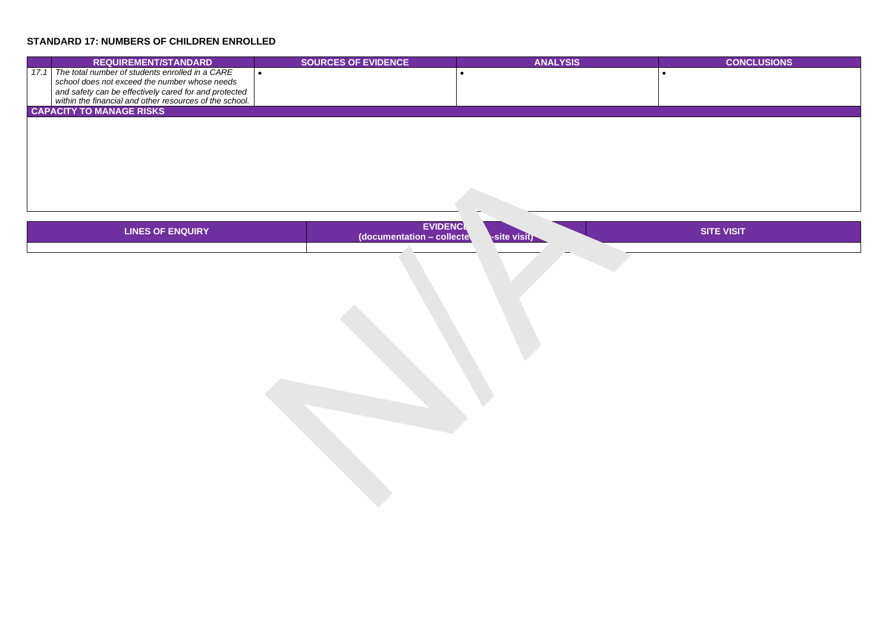# **STANDARD 17: NUMBERS OF CHILDREN ENROLLED**

# **REQUIREMENT/STANDARD SOURCES OF EVIDENCE ANALYSIS CONCLUSIONS**

| <b>REQUIREMENT/STANDARD</b>                                                                                                                               | <b>SOURCES OF EVIDENCE</b> | <b>ANALYSIS</b> |  |
|-----------------------------------------------------------------------------------------------------------------------------------------------------------|----------------------------|-----------------|--|
| The total number of students enrolled in a CARE<br>school does not exceed the number whose needs<br>and safety can be effectively cared for and protected |                            |                 |  |
| within the financial and other resources of the school.<br><b>CAPACITY TO MANAGE RISKS</b>                                                                |                            |                 |  |

| LINES OF ENQUIRY | <b>EVIDENCL</b><br>collecte<br>(documentation | <b>Isit</b><br>чык |                          |  |
|------------------|-----------------------------------------------|--------------------|--------------------------|--|
|                  |                                               |                    | $\overline{\phantom{0}}$ |  |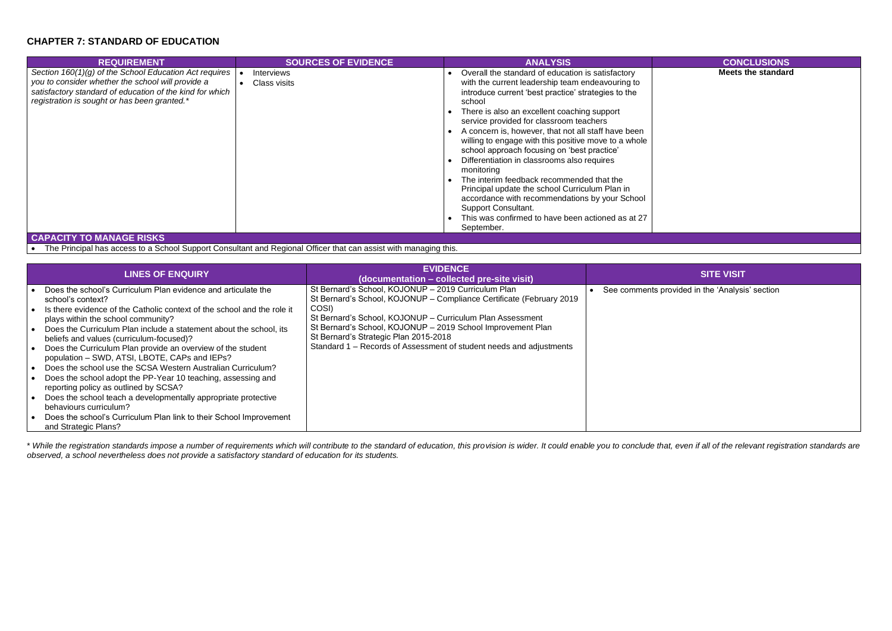### **CHAPTER 7: STANDARD OF EDUCATION**

| <b>REQUIREMENT</b>                                                                                                                                                                                                                                                                                                                                                                                                                                                                                                                                                                                                                                 | <b>SOURCES OF EVIDENCE</b>               | <b>ANALYSIS</b>                                                                                                                                                                                                                                                                                                                                                                                                                                                                                                                                                                                                                                                                                                                               | <b>CONCLUSIONS</b>       |
|----------------------------------------------------------------------------------------------------------------------------------------------------------------------------------------------------------------------------------------------------------------------------------------------------------------------------------------------------------------------------------------------------------------------------------------------------------------------------------------------------------------------------------------------------------------------------------------------------------------------------------------------------|------------------------------------------|-----------------------------------------------------------------------------------------------------------------------------------------------------------------------------------------------------------------------------------------------------------------------------------------------------------------------------------------------------------------------------------------------------------------------------------------------------------------------------------------------------------------------------------------------------------------------------------------------------------------------------------------------------------------------------------------------------------------------------------------------|--------------------------|
| Section 160(1)(g) of the School Education Act requires<br>you to consider whether the school will provide a<br>satisfactory standard of education of the kind for which<br>registration is sought or has been granted.*<br>$\mathbf{A} \mathbf{A} = \mathbf{A} \mathbf{A} + \mathbf{A} \mathbf{A} + \mathbf{A} \mathbf{A} + \mathbf{A} \mathbf{A} + \mathbf{A} \mathbf{A} + \mathbf{A} \mathbf{A} + \mathbf{A} \mathbf{A} + \mathbf{A} \mathbf{A} + \mathbf{A} \mathbf{A} + \mathbf{A} \mathbf{A} + \mathbf{A} \mathbf{A} + \mathbf{A} \mathbf{A} + \mathbf{A} \mathbf{A} + \mathbf{A} \mathbf{A} + \mathbf{A} \mathbf{A} + \mathbf{A} \mathbf{A}$ | <i><b>Interviews</b></i><br>Class visits | Overall the standard of education is satisfactory<br>with the current leadership team endeavouring to<br>introduce current 'best practice' strategies to the<br>school<br>There is also an excellent coaching support<br>service provided for classroom teachers<br>A concern is, however, that not all staff have been<br>willing to engage with this positive move to a whole<br>school approach focusing on 'best practice'<br>Differentiation in classrooms also requires<br>monitoring<br>The interim feedback recommended that the<br>Principal update the school Curriculum Plan in<br>accordance with recommendations by your School<br><b>Support Consultant.</b><br>This was confirmed to have been actioned as at 27<br>September. | <b>Meets the standar</b> |

**Meets the standard**

bvided in the 'Analysis' section

**CAPACITY TO MANAGE RISKS**

• The Principal has access to a School Support Consultant and Regional Officer that can assist with managing this.

\* While the registration standards impose a number of requirements which will contribute to the standard of education, this provision is wider. It could enable you to conclude that, even if all of the relevant registration *observed, a school nevertheless does not provide a satisfactory standard of education for its students.*

| <b>LINES OF ENQUIRY</b>                                                                                                                                                                                                                                                                                                                                                                                                                                                                                                                                                                                                                                                                                                                                                                                 | <b>EVIDENCE</b><br>(documentation – collected pre-site visit)                                                                                                                                                                                                                                                                                                                    | <b>SITE VISIT</b>                     |
|---------------------------------------------------------------------------------------------------------------------------------------------------------------------------------------------------------------------------------------------------------------------------------------------------------------------------------------------------------------------------------------------------------------------------------------------------------------------------------------------------------------------------------------------------------------------------------------------------------------------------------------------------------------------------------------------------------------------------------------------------------------------------------------------------------|----------------------------------------------------------------------------------------------------------------------------------------------------------------------------------------------------------------------------------------------------------------------------------------------------------------------------------------------------------------------------------|---------------------------------------|
| Does the school's Curriculum Plan evidence and articulate the<br>school's context?<br>Is there evidence of the Catholic context of the school and the role it<br>plays within the school community?<br>Does the Curriculum Plan include a statement about the school, its<br>beliefs and values (curriculum-focused)?<br>Does the Curriculum Plan provide an overview of the student<br>population - SWD, ATSI, LBOTE, CAPs and IEPs?<br>Does the school use the SCSA Western Australian Curriculum?<br>Does the school adopt the PP-Year 10 teaching, assessing and<br>reporting policy as outlined by SCSA?<br>Does the school teach a developmentally appropriate protective<br>behaviours curriculum?<br>Does the school's Curriculum Plan link to their School Improvement<br>and Strategic Plans? | St Bernard's School, KOJONUP - 2019 Curriculum Plan<br>St Bernard's School, KOJONUP - Compliance Certificate (February 2019<br>COSI)<br>St Bernard's School, KOJONUP - Curriculum Plan Assessment<br>St Bernard's School, KOJONUP - 2019 School Improvement Plan<br>St Bernard's Strategic Plan 2015-2018<br>Standard 1 – Records of Assessment of student needs and adjustments | See comments provided in the 'Analysi |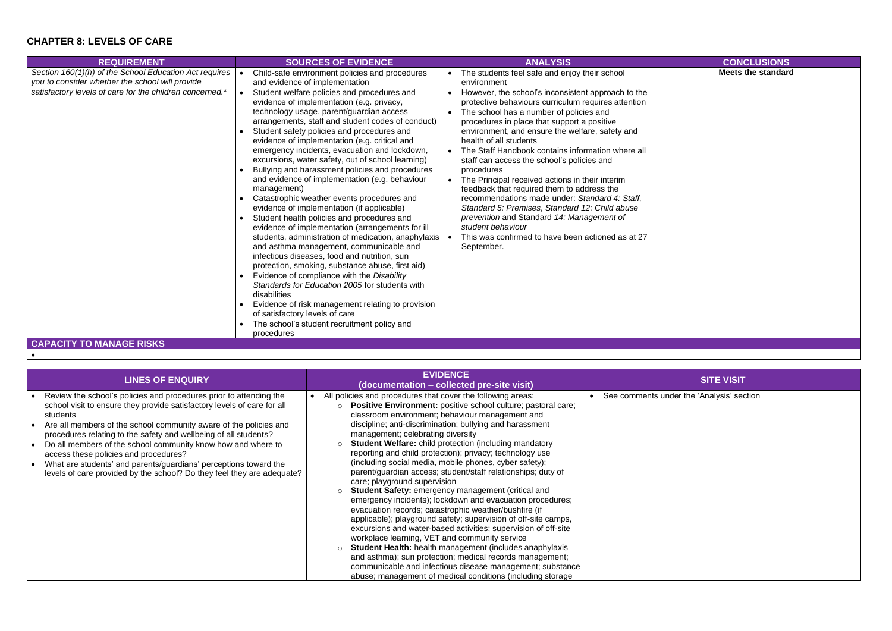# **CHAPTER 8: LEVELS OF CARE**

| Section 160(1)(h) of the School Education Act requires<br>Child-safe environment policies and procedures<br>The students feel safe and enjoy their school<br>you to consider whether the school will provide<br>and evidence of implementation<br>environment<br>satisfactory levels of care for the children concerned.*<br>Student welfare policies and procedures and<br>However, the school's inconsistent approach to the<br>$\bullet$<br>evidence of implementation (e.g. privacy,<br>protective behaviours curriculum requires attention<br>technology usage, parent/guardian access<br>The school has a number of policies and<br>arrangements, staff and student codes of conduct)<br>procedures in place that support a positive<br>Student safety policies and procedures and<br>environment, and ensure the welfare, safety and<br>evidence of implementation (e.g. critical and<br>health of all students<br>emergency incidents, evacuation and lockdown,<br>The Staff Handbook contains information where all<br>excursions, water safety, out of school learning)<br>staff can access the school's policies and<br>Bullying and harassment policies and procedures<br>procedures<br>and evidence of implementation (e.g. behaviour<br>The Principal received actions in their interim<br>management)<br>feedback that required them to address the<br>recommendations made under: Standard 4: Staff,<br>Catastrophic weather events procedures and<br>evidence of implementation (if applicable)<br>Standard 5: Premises, Standard 12: Child abuse<br>Student health policies and procedures and<br>prevention and Standard 14: Management of<br>evidence of implementation (arrangements for ill<br>student behaviour<br>students, administration of medication, anaphylaxis  <br>This was confirmed to have been actioned as at 27<br>and asthma management, communicable and<br>September.<br>infectious diseases, food and nutrition, sun<br>protection, smoking, substance abuse, first aid)<br>Evidence of compliance with the Disability<br>Standards for Education 2005 for students with<br>disabilities<br>Evidence of risk management relating to provision | <b>REQUIREMENT</b> | <b>SOURCES OF EVIDENCE</b>     | <b>ANALYSIS</b> | <b>CONCLUSIONS</b>       |
|----------------------------------------------------------------------------------------------------------------------------------------------------------------------------------------------------------------------------------------------------------------------------------------------------------------------------------------------------------------------------------------------------------------------------------------------------------------------------------------------------------------------------------------------------------------------------------------------------------------------------------------------------------------------------------------------------------------------------------------------------------------------------------------------------------------------------------------------------------------------------------------------------------------------------------------------------------------------------------------------------------------------------------------------------------------------------------------------------------------------------------------------------------------------------------------------------------------------------------------------------------------------------------------------------------------------------------------------------------------------------------------------------------------------------------------------------------------------------------------------------------------------------------------------------------------------------------------------------------------------------------------------------------------------------------------------------------------------------------------------------------------------------------------------------------------------------------------------------------------------------------------------------------------------------------------------------------------------------------------------------------------------------------------------------------------------------------------------------------------------------------------------------------------------------------------|--------------------|--------------------------------|-----------------|--------------------------|
| The school's student recruitment policy and<br>procedures<br><b>CAPACITY TO MANAGE RISKS</b>                                                                                                                                                                                                                                                                                                                                                                                                                                                                                                                                                                                                                                                                                                                                                                                                                                                                                                                                                                                                                                                                                                                                                                                                                                                                                                                                                                                                                                                                                                                                                                                                                                                                                                                                                                                                                                                                                                                                                                                                                                                                                           |                    | of satisfactory levels of care |                 | <b>Meets the standar</b> |

**Meets the standard**

der the 'Analysis' section

•

| <b>LINES OF ENQUIRY</b>                                                                                                                                                                                                                                                                                                                                                                                                                                                                                                                                   | <b>EVIDENCE</b><br>(documentation - collected pre-site visit)                                                                                                                                                                                                                                                                                                                                                                                                                                                                                                                                                                                                                                                                                                                                                                                                                                                                                                                                                                                                                                                                                                                                                                              | <b>SITE VISIT</b>                     |
|-----------------------------------------------------------------------------------------------------------------------------------------------------------------------------------------------------------------------------------------------------------------------------------------------------------------------------------------------------------------------------------------------------------------------------------------------------------------------------------------------------------------------------------------------------------|--------------------------------------------------------------------------------------------------------------------------------------------------------------------------------------------------------------------------------------------------------------------------------------------------------------------------------------------------------------------------------------------------------------------------------------------------------------------------------------------------------------------------------------------------------------------------------------------------------------------------------------------------------------------------------------------------------------------------------------------------------------------------------------------------------------------------------------------------------------------------------------------------------------------------------------------------------------------------------------------------------------------------------------------------------------------------------------------------------------------------------------------------------------------------------------------------------------------------------------------|---------------------------------------|
| Review the school's policies and procedures prior to attending the<br>school visit to ensure they provide satisfactory levels of care for all<br>students<br>Are all members of the school community aware of the policies and<br>procedures relating to the safety and wellbeing of all students?<br>Do all members of the school community know how and where to<br>access these policies and procedures?<br>What are students' and parents/guardians' perceptions toward the<br>levels of care provided by the school? Do they feel they are adequate? | All policies and procedures that cover the following areas:<br>Positive Environment: positive school culture; pastoral care;<br>$\bigcap$<br>classroom environment; behaviour management and<br>discipline; anti-discrimination; bullying and harassment<br>management; celebrating diversity<br><b>Student Welfare:</b> child protection (including mandatory<br>$\Omega$<br>reporting and child protection); privacy; technology use<br>(including social media, mobile phones, cyber safety);<br>parent/guardian access; student/staff relationships; duty of<br>care; playground supervision<br>Student Safety: emergency management (critical and<br>$\Omega$<br>emergency incidents); lockdown and evacuation procedures;<br>evacuation records; catastrophic weather/bushfire (if<br>applicable); playground safety; supervision of off-site camps,<br>excursions and water-based activities; supervision of off-site<br>workplace learning, VET and community service<br>Student Health: health management (includes anaphylaxis<br>$\circ$<br>and asthma); sun protection; medical records management;<br>communicable and infectious disease management; substance<br>abuse; management of medical conditions (including storage | See comments under the 'Analysis' see |